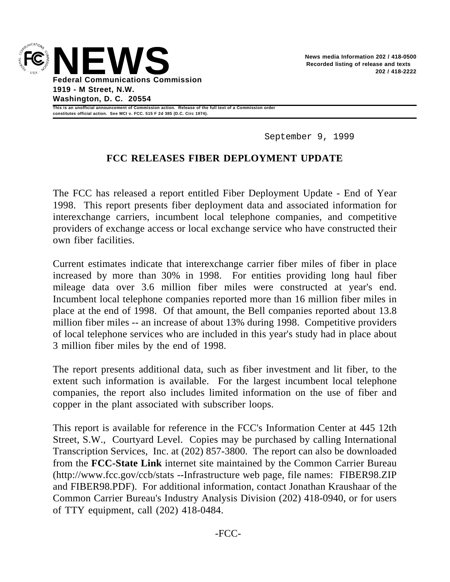

**This is an unofficial announcement of Commission action. Release of the full text of a Commission order constitutes official action. See MCI v. FCC. 515 F 2d 385 (D.C. Circ 1974).**

September 9, 1999

# **FCC RELEASES FIBER DEPLOYMENT UPDATE**

The FCC has released a report entitled Fiber Deployment Update - End of Year 1998. This report presents fiber deployment data and associated information for interexchange carriers, incumbent local telephone companies, and competitive providers of exchange access or local exchange service who have constructed their own fiber facilities.

Current estimates indicate that interexchange carrier fiber miles of fiber in place increased by more than 30% in 1998. For entities providing long haul fiber mileage data over 3.6 million fiber miles were constructed at year's end. Incumbent local telephone companies reported more than 16 million fiber miles in place at the end of 1998. Of that amount, the Bell companies reported about 13.8 million fiber miles -- an increase of about 13% during 1998. Competitive providers of local telephone services who are included in this year's study had in place about 3 million fiber miles by the end of 1998.

The report presents additional data, such as fiber investment and lit fiber, to the extent such information is available. For the largest incumbent local telephone companies, the report also includes limited information on the use of fiber and copper in the plant associated with subscriber loops.

This report is available for reference in the FCC's Information Center at 445 12th Street, S.W., Courtyard Level. Copies may be purchased by calling International Transcription Services, Inc. at (202) 857-3800. The report can also be downloaded from the **FCC-State Link** internet site maintained by the Common Carrier Bureau (http://www.fcc.gov/ccb/stats --Infrastructure web page, file names: FIBER98.ZIP and FIBER98.PDF). For additional information, contact Jonathan Kraushaar of the Common Carrier Bureau's Industry Analysis Division (202) 418-0940, or for users of TTY equipment, call (202) 418-0484.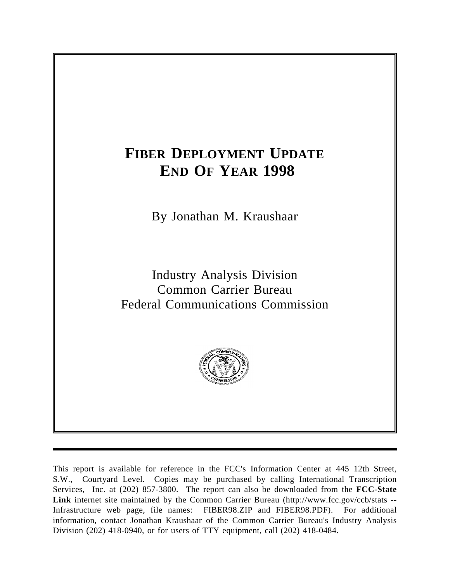# **FIBER DEPLOYMENT UPDATE END OF YEAR 1998**

By Jonathan M. Kraushaar

Industry Analysis Division Common Carrier Bureau Federal Communications Commission



This report is available for reference in the FCC's Information Center at 445 12th Street, S.W., Courtyard Level. Copies may be purchased by calling International Transcription Services, Inc. at (202) 857-3800. The report can also be downloaded from the **FCC-State Link** internet site maintained by the Common Carrier Bureau (http://www.fcc.gov/ccb/stats -- Infrastructure web page, file names: FIBER98.ZIP and FIBER98.PDF). For additional information, contact Jonathan Kraushaar of the Common Carrier Bureau's Industry Analysis Division (202) 418-0940, or for users of TTY equipment, call (202) 418-0484.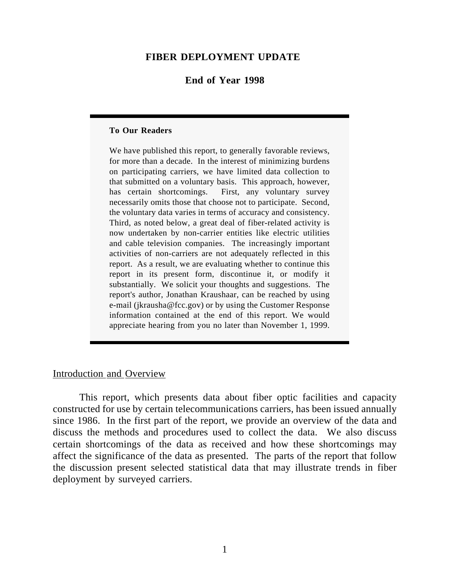#### **FIBER DEPLOYMENT UPDATE**

#### **End of Year 1998**

#### **To Our Readers**

We have published this report, to generally favorable reviews, for more than a decade. In the interest of minimizing burdens on participating carriers, we have limited data collection to that submitted on a voluntary basis. This approach, however, has certain shortcomings. First, any voluntary survey necessarily omits those that choose not to participate. Second, the voluntary data varies in terms of accuracy and consistency. Third, as noted below, a great deal of fiber-related activity is now undertaken by non-carrier entities like electric utilities and cable television companies. The increasingly important activities of non-carriers are not adequately reflected in this report. As a result, we are evaluating whether to continue this report in its present form, discontinue it, or modify it substantially. We solicit your thoughts and suggestions. The report's author, Jonathan Kraushaar, can be reached by using e-mail (jkrausha@fcc.gov) or by using the Customer Response information contained at the end of this report. We would appreciate hearing from you no later than November 1, 1999.

# Introduction and Overview

This report, which presents data about fiber optic facilities and capacity constructed for use by certain telecommunications carriers, has been issued annually since 1986. In the first part of the report, we provide an overview of the data and discuss the methods and procedures used to collect the data. We also discuss certain shortcomings of the data as received and how these shortcomings may affect the significance of the data as presented. The parts of the report that follow the discussion present selected statistical data that may illustrate trends in fiber deployment by surveyed carriers.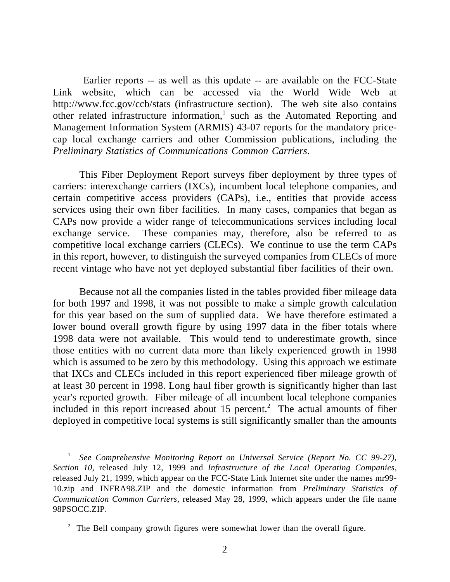Earlier reports -- as well as this update -- are available on the FCC-State Link website, which can be accessed via the World Wide Web at http://www.fcc.gov/ccb/stats (infrastructure section). The web site also contains other related infrastructure information,<sup>1</sup> such as the Automated Reporting and Management Information System (ARMIS) 43-07 reports for the mandatory pricecap local exchange carriers and other Commission publications, including the *Preliminary Statistics of Communications Common Carriers*.

This Fiber Deployment Report surveys fiber deployment by three types of carriers: interexchange carriers (IXCs), incumbent local telephone companies, and certain competitive access providers (CAPs), i.e., entities that provide access services using their own fiber facilities. In many cases, companies that began as CAPs now provide a wider range of telecommunications services including local exchange service. These companies may, therefore, also be referred to as competitive local exchange carriers (CLECs). We continue to use the term CAPs in this report, however, to distinguish the surveyed companies from CLECs of more recent vintage who have not yet deployed substantial fiber facilities of their own.

Because not all the companies listed in the tables provided fiber mileage data for both 1997 and 1998, it was not possible to make a simple growth calculation for this year based on the sum of supplied data. We have therefore estimated a lower bound overall growth figure by using 1997 data in the fiber totals where 1998 data were not available. This would tend to underestimate growth, since those entities with no current data more than likely experienced growth in 1998 which is assumed to be zero by this methodology. Using this approach we estimate that IXCs and CLECs included in this report experienced fiber mileage growth of at least 30 percent in 1998. Long haul fiber growth is significantly higher than last year's reported growth. Fiber mileage of all incumbent local telephone companies included in this report increased about 15 percent.<sup>2</sup> The actual amounts of fiber deployed in competitive local systems is still significantly smaller than the amounts

<sup>1</sup> *See Comprehensive Monitoring Report on Universal Service (Report No. CC 99-27), Section 10,* released July 12, 1999 and *Infrastructure of the Local Operating Companies*, released July 21, 1999*,* which appear on the FCC-State Link Internet site under the names mr99- 10.zip and INFRA98.ZIP and the domestic information from *Preliminary Statistics of Communication Common Carriers*, released May 28, 1999, which appears under the file name 98PSOCC.ZIP.

<sup>&</sup>lt;sup>2</sup> The Bell company growth figures were somewhat lower than the overall figure.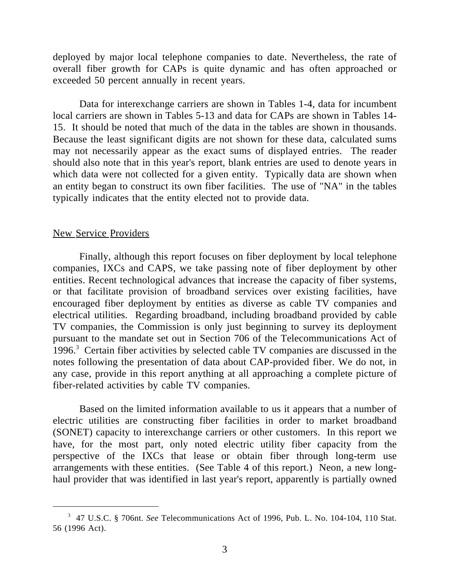deployed by major local telephone companies to date. Nevertheless, the rate of overall fiber growth for CAPs is quite dynamic and has often approached or exceeded 50 percent annually in recent years.

Data for interexchange carriers are shown in Tables 1-4, data for incumbent local carriers are shown in Tables 5-13 and data for CAPs are shown in Tables 14- 15. It should be noted that much of the data in the tables are shown in thousands. Because the least significant digits are not shown for these data, calculated sums may not necessarily appear as the exact sums of displayed entries. The reader should also note that in this year's report, blank entries are used to denote years in which data were not collected for a given entity. Typically data are shown when an entity began to construct its own fiber facilities. The use of "NA" in the tables typically indicates that the entity elected not to provide data.

#### New Service Providers

 $\overline{a}$ 

Finally, although this report focuses on fiber deployment by local telephone companies, IXCs and CAPS, we take passing note of fiber deployment by other entities. Recent technological advances that increase the capacity of fiber systems, or that facilitate provision of broadband services over existing facilities, have encouraged fiber deployment by entities as diverse as cable TV companies and electrical utilities. Regarding broadband, including broadband provided by cable TV companies, the Commission is only just beginning to survey its deployment pursuant to the mandate set out in Section 706 of the Telecommunications Act of 1996.<sup>3</sup> Certain fiber activities by selected cable TV companies are discussed in the notes following the presentation of data about CAP-provided fiber. We do not, in any case, provide in this report anything at all approaching a complete picture of fiber-related activities by cable TV companies.

Based on the limited information available to us it appears that a number of electric utilities are constructing fiber facilities in order to market broadband (SONET) capacity to interexchange carriers or other customers. In this report we have, for the most part, only noted electric utility fiber capacity from the perspective of the IXCs that lease or obtain fiber through long-term use arrangements with these entities. (See Table 4 of this report.) Neon, a new longhaul provider that was identified in last year's report, apparently is partially owned

<sup>3</sup> 47 U.S.C. § 706nt. *See* Telecommunications Act of 1996, Pub. L. No. 104-104, 110 Stat. 56 (1996 Act).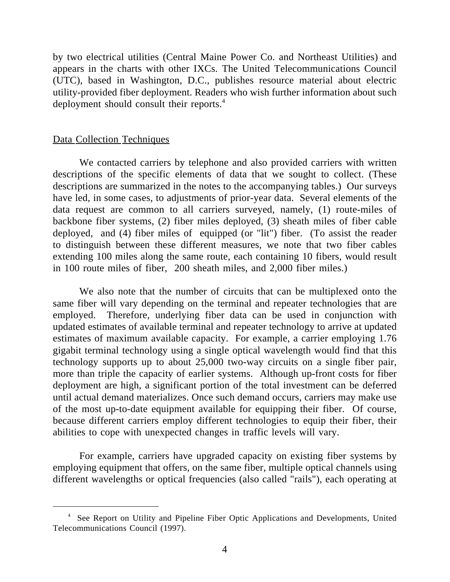by two electrical utilities (Central Maine Power Co. and Northeast Utilities) and appears in the charts with other IXCs. The United Telecommunications Council (UTC), based in Washington, D.C., publishes resource material about electric utility-provided fiber deployment. Readers who wish further information about such deployment should consult their reports.<sup>4</sup>

#### Data Collection Techniques

 $\overline{a}$ 

We contacted carriers by telephone and also provided carriers with written descriptions of the specific elements of data that we sought to collect. (These descriptions are summarized in the notes to the accompanying tables.) Our surveys have led, in some cases, to adjustments of prior-year data. Several elements of the data request are common to all carriers surveyed, namely, (1) route-miles of backbone fiber systems, (2) fiber miles deployed, (3) sheath miles of fiber cable deployed, and (4) fiber miles of equipped (or "lit") fiber. (To assist the reader to distinguish between these different measures, we note that two fiber cables extending 100 miles along the same route, each containing 10 fibers, would result in 100 route miles of fiber, 200 sheath miles, and 2,000 fiber miles.)

We also note that the number of circuits that can be multiplexed onto the same fiber will vary depending on the terminal and repeater technologies that are employed. Therefore, underlying fiber data can be used in conjunction with updated estimates of available terminal and repeater technology to arrive at updated estimates of maximum available capacity. For example, a carrier employing 1.76 gigabit terminal technology using a single optical wavelength would find that this technology supports up to about 25,000 two-way circuits on a single fiber pair, more than triple the capacity of earlier systems. Although up-front costs for fiber deployment are high, a significant portion of the total investment can be deferred until actual demand materializes. Once such demand occurs, carriers may make use of the most up-to-date equipment available for equipping their fiber. Of course, because different carriers employ different technologies to equip their fiber, their abilities to cope with unexpected changes in traffic levels will vary.

For example, carriers have upgraded capacity on existing fiber systems by employing equipment that offers, on the same fiber, multiple optical channels using different wavelengths or optical frequencies (also called "rails"), each operating at

<sup>&</sup>lt;sup>4</sup> See Report on Utility and Pipeline Fiber Optic Applications and Developments, United Telecommunications Council (1997).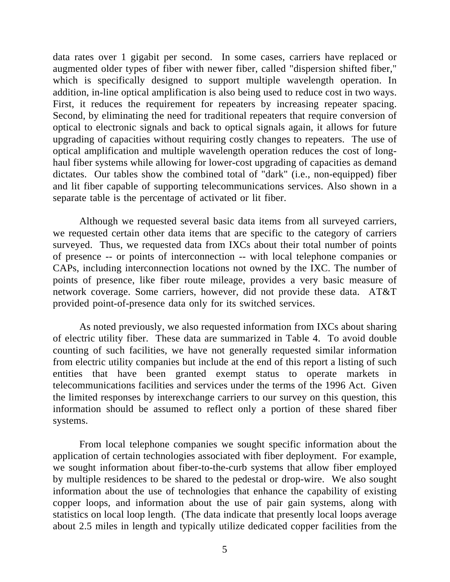data rates over 1 gigabit per second. In some cases, carriers have replaced or augmented older types of fiber with newer fiber, called "dispersion shifted fiber," which is specifically designed to support multiple wavelength operation. In addition, in-line optical amplification is also being used to reduce cost in two ways. First, it reduces the requirement for repeaters by increasing repeater spacing. Second, by eliminating the need for traditional repeaters that require conversion of optical to electronic signals and back to optical signals again, it allows for future upgrading of capacities without requiring costly changes to repeaters. The use of optical amplification and multiple wavelength operation reduces the cost of longhaul fiber systems while allowing for lower-cost upgrading of capacities as demand dictates. Our tables show the combined total of "dark" (i.e., non-equipped) fiber and lit fiber capable of supporting telecommunications services. Also shown in a separate table is the percentage of activated or lit fiber.

Although we requested several basic data items from all surveyed carriers, we requested certain other data items that are specific to the category of carriers surveyed. Thus, we requested data from IXCs about their total number of points of presence -- or points of interconnection -- with local telephone companies or CAPs, including interconnection locations not owned by the IXC. The number of points of presence, like fiber route mileage, provides a very basic measure of network coverage. Some carriers, however, did not provide these data. AT&T provided point-of-presence data only for its switched services.

As noted previously, we also requested information from IXCs about sharing of electric utility fiber. These data are summarized in Table 4. To avoid double counting of such facilities, we have not generally requested similar information from electric utility companies but include at the end of this report a listing of such entities that have been granted exempt status to operate markets in telecommunications facilities and services under the terms of the 1996 Act. Given the limited responses by interexchange carriers to our survey on this question, this information should be assumed to reflect only a portion of these shared fiber systems.

From local telephone companies we sought specific information about the application of certain technologies associated with fiber deployment. For example, we sought information about fiber-to-the-curb systems that allow fiber employed by multiple residences to be shared to the pedestal or drop-wire. We also sought information about the use of technologies that enhance the capability of existing copper loops, and information about the use of pair gain systems, along with statistics on local loop length. (The data indicate that presently local loops average about 2.5 miles in length and typically utilize dedicated copper facilities from the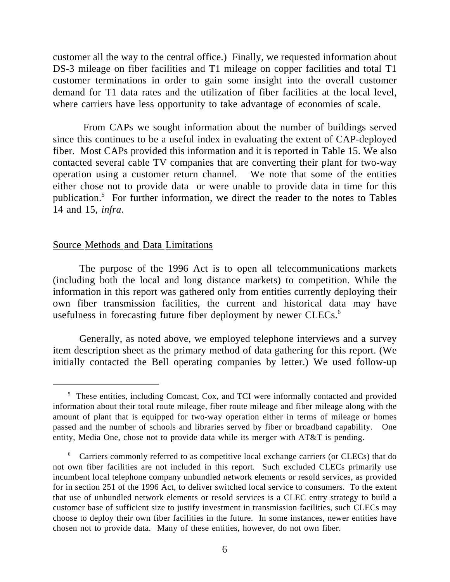customer all the way to the central office.) Finally, we requested information about DS-3 mileage on fiber facilities and T1 mileage on copper facilities and total T1 customer terminations in order to gain some insight into the overall customer demand for T1 data rates and the utilization of fiber facilities at the local level, where carriers have less opportunity to take advantage of economies of scale.

 From CAPs we sought information about the number of buildings served since this continues to be a useful index in evaluating the extent of CAP-deployed fiber. Most CAPs provided this information and it is reported in Table 15. We also contacted several cable TV companies that are converting their plant for two-way operation using a customer return channel. We note that some of the entities either chose not to provide data or were unable to provide data in time for this publication.<sup>5</sup> For further information, we direct the reader to the notes to Tables 14 and 15, *infra*.

### Source Methods and Data Limitations

 $\overline{a}$ 

The purpose of the 1996 Act is to open all telecommunications markets (including both the local and long distance markets) to competition. While the information in this report was gathered only from entities currently deploying their own fiber transmission facilities, the current and historical data may have usefulness in forecasting future fiber deployment by newer CLECs.<sup>6</sup>

Generally, as noted above, we employed telephone interviews and a survey item description sheet as the primary method of data gathering for this report. (We initially contacted the Bell operating companies by letter.) We used follow-up

<sup>&</sup>lt;sup>5</sup> These entities, including Comcast, Cox, and TCI were informally contacted and provided information about their total route mileage, fiber route mileage and fiber mileage along with the amount of plant that is equipped for two-way operation either in terms of mileage or homes passed and the number of schools and libraries served by fiber or broadband capability. One entity, Media One, chose not to provide data while its merger with AT&T is pending.

<sup>&</sup>lt;sup>6</sup> Carriers commonly referred to as competitive local exchange carriers (or CLECs) that do not own fiber facilities are not included in this report. Such excluded CLECs primarily use incumbent local telephone company unbundled network elements or resold services, as provided for in section 251 of the 1996 Act, to deliver switched local service to consumers. To the extent that use of unbundled network elements or resold services is a CLEC entry strategy to build a customer base of sufficient size to justify investment in transmission facilities, such CLECs may choose to deploy their own fiber facilities in the future. In some instances, newer entities have chosen not to provide data. Many of these entities, however, do not own fiber.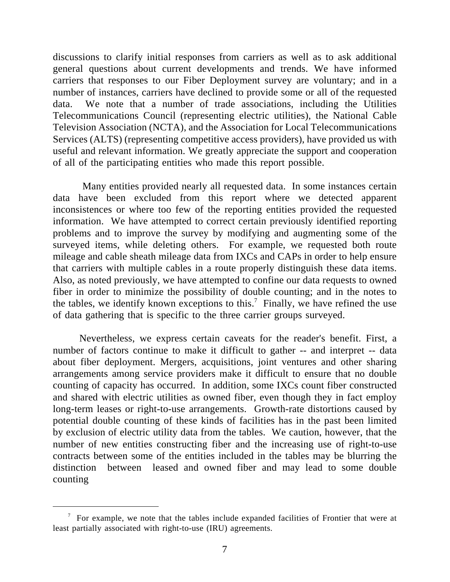discussions to clarify initial responses from carriers as well as to ask additional general questions about current developments and trends. We have informed carriers that responses to our Fiber Deployment survey are voluntary; and in a number of instances, carriers have declined to provide some or all of the requested data. We note that a number of trade associations, including the Utilities Telecommunications Council (representing electric utilities), the National Cable Television Association (NCTA), and the Association for Local Telecommunications Services (ALTS) (representing competitive access providers), have provided us with useful and relevant information. We greatly appreciate the support and cooperation of all of the participating entities who made this report possible.

 Many entities provided nearly all requested data. In some instances certain data have been excluded from this report where we detected apparent inconsistences or where too few of the reporting entities provided the requested information. We have attempted to correct certain previously identified reporting problems and to improve the survey by modifying and augmenting some of the surveyed items, while deleting others. For example, we requested both route mileage and cable sheath mileage data from IXCs and CAPs in order to help ensure that carriers with multiple cables in a route properly distinguish these data items. Also, as noted previously, we have attempted to confine our data requests to owned fiber in order to minimize the possibility of double counting; and in the notes to the tables, we identify known exceptions to this.<sup>7</sup> Finally, we have refined the use of data gathering that is specific to the three carrier groups surveyed.

Nevertheless, we express certain caveats for the reader's benefit. First, a number of factors continue to make it difficult to gather -- and interpret -- data about fiber deployment. Mergers, acquisitions, joint ventures and other sharing arrangements among service providers make it difficult to ensure that no double counting of capacity has occurred. In addition, some IXCs count fiber constructed and shared with electric utilities as owned fiber, even though they in fact employ long-term leases or right-to-use arrangements. Growth-rate distortions caused by potential double counting of these kinds of facilities has in the past been limited by exclusion of electric utility data from the tables. We caution, however, that the number of new entities constructing fiber and the increasing use of right-to-use contracts between some of the entities included in the tables may be blurring the distinction between leased and owned fiber and may lead to some double counting

 $\frac{7}{10}$  For example, we note that the tables include expanded facilities of Frontier that were at least partially associated with right-to-use (IRU) agreements.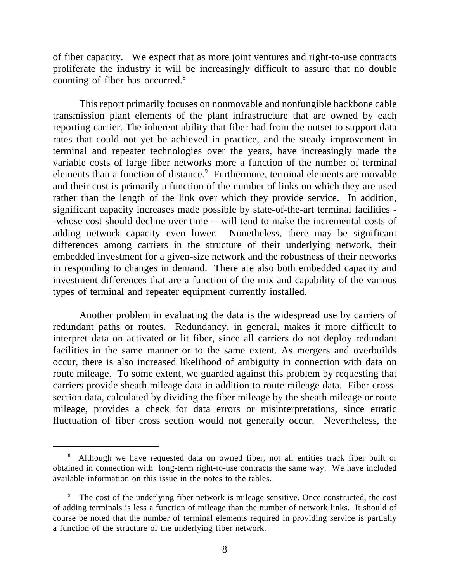of fiber capacity. We expect that as more joint ventures and right-to-use contracts proliferate the industry it will be increasingly difficult to assure that no double counting of fiber has occurred.<sup>8</sup>

This report primarily focuses on nonmovable and nonfungible backbone cable transmission plant elements of the plant infrastructure that are owned by each reporting carrier. The inherent ability that fiber had from the outset to support data rates that could not yet be achieved in practice, and the steady improvement in terminal and repeater technologies over the years, have increasingly made the variable costs of large fiber networks more a function of the number of terminal elements than a function of distance.<sup>9</sup> Furthermore, terminal elements are movable and their cost is primarily a function of the number of links on which they are used rather than the length of the link over which they provide service. In addition, significant capacity increases made possible by state-of-the-art terminal facilities - -whose cost should decline over time -- will tend to make the incremental costs of adding network capacity even lower. Nonetheless, there may be significant differences among carriers in the structure of their underlying network, their embedded investment for a given-size network and the robustness of their networks in responding to changes in demand. There are also both embedded capacity and investment differences that are a function of the mix and capability of the various types of terminal and repeater equipment currently installed.

Another problem in evaluating the data is the widespread use by carriers of redundant paths or routes. Redundancy, in general, makes it more difficult to interpret data on activated or lit fiber, since all carriers do not deploy redundant facilities in the same manner or to the same extent. As mergers and overbuilds occur, there is also increased likelihood of ambiguity in connection with data on route mileage. To some extent, we guarded against this problem by requesting that carriers provide sheath mileage data in addition to route mileage data. Fiber crosssection data, calculated by dividing the fiber mileage by the sheath mileage or route mileage, provides a check for data errors or misinterpretations, since erratic fluctuation of fiber cross section would not generally occur. Nevertheless, the

<sup>&</sup>lt;sup>8</sup> Although we have requested data on owned fiber, not all entities track fiber built or obtained in connection with long-term right-to-use contracts the same way. We have included available information on this issue in the notes to the tables.

The cost of the underlying fiber network is mileage sensitive. Once constructed, the cost of adding terminals is less a function of mileage than the number of network links. It should of course be noted that the number of terminal elements required in providing service is partially a function of the structure of the underlying fiber network.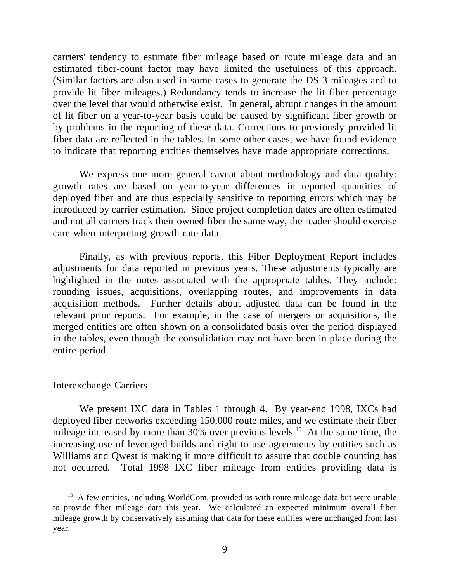carriers' tendency to estimate fiber mileage based on route mileage data and an estimated fiber-count factor may have limited the usefulness of this approach. (Similar factors are also used in some cases to generate the DS-3 mileages and to provide lit fiber mileages.) Redundancy tends to increase the lit fiber percentage over the level that would otherwise exist. In general, abrupt changes in the amount of lit fiber on a year-to-year basis could be caused by significant fiber growth or by problems in the reporting of these data. Corrections to previously provided lit fiber data are reflected in the tables. In some other cases, we have found evidence to indicate that reporting entities themselves have made appropriate corrections.

We express one more general caveat about methodology and data quality: growth rates are based on year-to-year differences in reported quantities of deployed fiber and are thus especially sensitive to reporting errors which may be introduced by carrier estimation. Since project completion dates are often estimated and not all carriers track their owned fiber the same way, the reader should exercise care when interpreting growth-rate data.

Finally, as with previous reports, this Fiber Deployment Report includes adjustments for data reported in previous years. These adjustments typically are highlighted in the notes associated with the appropriate tables. They include: rounding issues, acquisitions, overlapping routes, and improvements in data acquisition methods. Further details about adjusted data can be found in the relevant prior reports. For example, in the case of mergers or acquisitions, the merged entities are often shown on a consolidated basis over the period displayed in the tables, even though the consolidation may not have been in place during the entire period.

### Interexchange Carriers

 $\overline{a}$ 

We present IXC data in Tables 1 through 4. By year-end 1998, IXCs had deployed fiber networks exceeding 150,000 route miles, and we estimate their fiber mileage increased by more than  $30\%$  over previous levels.<sup>10</sup> At the same time, the increasing use of leveraged builds and right-to-use agreements by entities such as Williams and Qwest is making it more difficult to assure that double counting has not occurred. Total 1998 IXC fiber mileage from entities providing data is

 $10$  A few entities, including WorldCom, provided us with route mileage data but were unable to provide fiber mileage data this year. We calculated an expected minimum overall fiber mileage growth by conservatively assuming that data for these entities were unchanged from last year.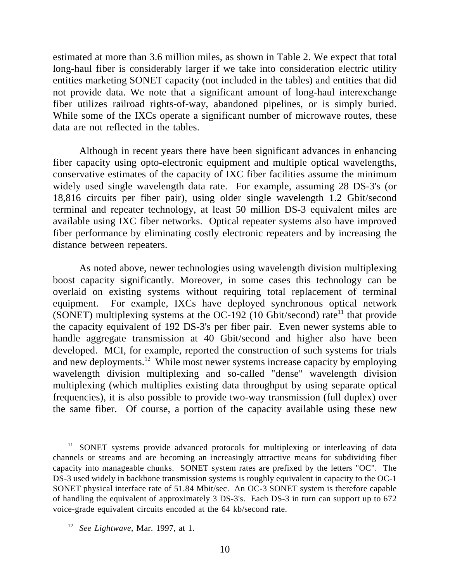estimated at more than 3.6 million miles, as shown in Table 2. We expect that total long-haul fiber is considerably larger if we take into consideration electric utility entities marketing SONET capacity (not included in the tables) and entities that did not provide data. We note that a significant amount of long-haul interexchange fiber utilizes railroad rights-of-way, abandoned pipelines, or is simply buried. While some of the IXCs operate a significant number of microwave routes, these data are not reflected in the tables.

Although in recent years there have been significant advances in enhancing fiber capacity using opto-electronic equipment and multiple optical wavelengths, conservative estimates of the capacity of IXC fiber facilities assume the minimum widely used single wavelength data rate. For example, assuming 28 DS-3's (or 18,816 circuits per fiber pair), using older single wavelength 1.2 Gbit/second terminal and repeater technology, at least 50 million DS-3 equivalent miles are available using IXC fiber networks. Optical repeater systems also have improved fiber performance by eliminating costly electronic repeaters and by increasing the distance between repeaters.

As noted above, newer technologies using wavelength division multiplexing boost capacity significantly. Moreover, in some cases this technology can be overlaid on existing systems without requiring total replacement of terminal equipment. For example, IXCs have deployed synchronous optical network (SONET) multiplexing systems at the OC-192 (10 Gbit/second) rate<sup>11</sup> that provide the capacity equivalent of 192 DS-3's per fiber pair. Even newer systems able to handle aggregate transmission at 40 Gbit/second and higher also have been developed. MCI, for example, reported the construction of such systems for trials and new deployments.<sup>12</sup> While most newer systems increase capacity by employing wavelength division multiplexing and so-called "dense" wavelength division multiplexing (which multiplies existing data throughput by using separate optical frequencies), it is also possible to provide two-way transmission (full duplex) over the same fiber. Of course, a portion of the capacity available using these new

<sup>&</sup>lt;sup>11</sup> SONET systems provide advanced protocols for multiplexing or interleaving of data channels or streams and are becoming an increasingly attractive means for subdividing fiber capacity into manageable chunks. SONET system rates are prefixed by the letters "OC". The DS-3 used widely in backbone transmission systems is roughly equivalent in capacity to the OC-1 SONET physical interface rate of 51.84 Mbit/sec. An OC-3 SONET system is therefore capable of handling the equivalent of approximately 3 DS-3's. Each DS-3 in turn can support up to 672 voice-grade equivalent circuits encoded at the 64 kb/second rate.

<sup>12</sup> *See Lightwave*, Mar. 1997, at 1.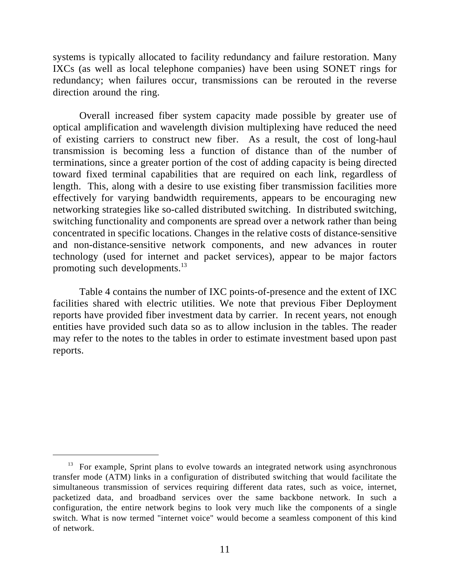systems is typically allocated to facility redundancy and failure restoration. Many IXCs (as well as local telephone companies) have been using SONET rings for redundancy; when failures occur, transmissions can be rerouted in the reverse direction around the ring.

Overall increased fiber system capacity made possible by greater use of optical amplification and wavelength division multiplexing have reduced the need of existing carriers to construct new fiber. As a result, the cost of long-haul transmission is becoming less a function of distance than of the number of terminations, since a greater portion of the cost of adding capacity is being directed toward fixed terminal capabilities that are required on each link, regardless of length. This, along with a desire to use existing fiber transmission facilities more effectively for varying bandwidth requirements, appears to be encouraging new networking strategies like so-called distributed switching. In distributed switching, switching functionality and components are spread over a network rather than being concentrated in specific locations. Changes in the relative costs of distance-sensitive and non-distance-sensitive network components, and new advances in router technology (used for internet and packet services), appear to be major factors promoting such developments.<sup>13</sup>

Table 4 contains the number of IXC points-of-presence and the extent of IXC facilities shared with electric utilities. We note that previous Fiber Deployment reports have provided fiber investment data by carrier. In recent years, not enough entities have provided such data so as to allow inclusion in the tables. The reader may refer to the notes to the tables in order to estimate investment based upon past reports.

 $13$  For example, Sprint plans to evolve towards an integrated network using asynchronous transfer mode (ATM) links in a configuration of distributed switching that would facilitate the simultaneous transmission of services requiring different data rates, such as voice, internet, packetized data, and broadband services over the same backbone network. In such a configuration, the entire network begins to look very much like the components of a single switch. What is now termed "internet voice" would become a seamless component of this kind of network.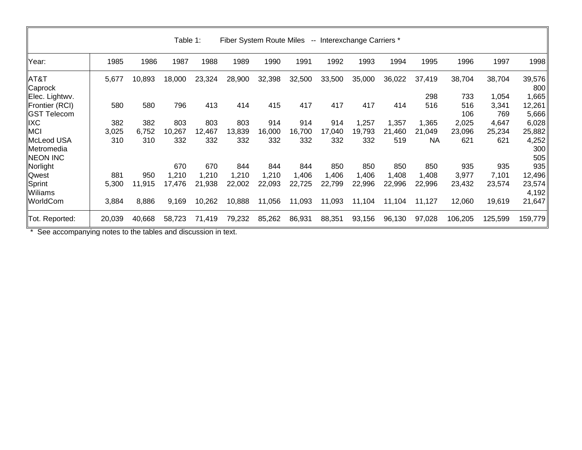| Fiber System Route Miles -- Interexchange Carriers *<br>Table 1: |        |        |        |        |        |        |        |        |        |        |            |            |                |                     |
|------------------------------------------------------------------|--------|--------|--------|--------|--------|--------|--------|--------|--------|--------|------------|------------|----------------|---------------------|
| Year:                                                            | 1985   | 1986   | 1987   | 1988   | 1989   | 1990   | 1991   | 1992   | 1993   | 1994   | 1995       | 1996       | 1997           | 1998                |
| $\parallel$ AT&T<br>∥Caprock                                     | 5,677  | 10,893 | 18,000 | 23,324 | 28,900 | 32,398 | 32,500 | 33,500 | 35,000 | 36,022 | 37,419     | 38,704     | 38,704         | 39,576<br>800       |
| Elec. Lightwv.<br>Frontier (RCI)                                 |        | 580    | 796    | 413    | 414    | 415    | 417    | 417    | 417    |        | 298<br>516 | 733<br>516 | 1,054<br>3,341 | ,665<br>12,261      |
| <b>GST Telecom</b>                                               | 580    |        |        |        |        |        |        |        |        | 414    |            | 106        | 769            | 5,666               |
| <b>IXC</b>                                                       | 382    | 382    | 803    | 803    | 803    | 914    | 914    | 914    | 1,257  | 1,357  | 1,365      | 2,025      | 4,647          | 6,028               |
| MCI                                                              | 3,025  | 6,752  | 10,267 | 12,467 | 13,839 | 16,000 | 16,700 | 17,040 | 19,793 | 21,460 | 21,049     | 23,096     | 25,234         | 25,882              |
| McLeod USA<br>lMetromedia<br><b>NEON INC</b>                     | 310    | 310    | 332    | 332    | 332    | 332    | 332    | 332    | 332    | 519    | <b>NA</b>  | 621        | 621            | 4,252<br>300<br>505 |
| Norlight                                                         |        |        | 670    | 670    | 844    | 844    | 844    | 850    | 850    | 850    | 850        | 935        | 935            | 935                 |
| Qwest                                                            | 881    | 950    | 1,210  | 1,210  | 1,210  | 1,210  | 1,406  | 1,406  | 1,406  | 1,408  | 1,408      | 3,977      | 7,101          | 12,496              |
| Sprint<br>Wiliams                                                | 5,300  | 11,915 | 17,476 | 21,938 | 22,002 | 22,093 | 22,725 | 22,799 | 22,996 | 22,996 | 22,996     | 23,432     | 23,574         | 23,574<br>4,192     |
| WorldCom                                                         | 3,884  | 8,886  | 9,169  | 10,262 | 10,888 | 11,056 | 11,093 | 11,093 | 11,104 | 11,104 | 11,127     | 12,060     | 19,619         | 21,647              |
| Tot. Reported:                                                   | 20,039 | 40,668 | 58,723 | 71,419 | 79,232 | 85,262 | 86,931 | 88,351 | 93,156 | 96,130 | 97,028     | 106,205    | 125,599        | 159,779             |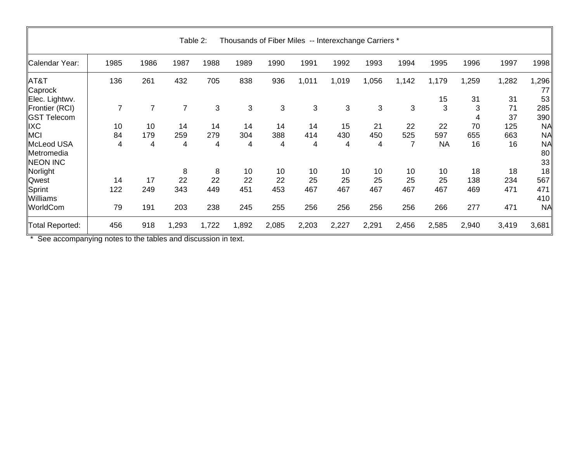| Thousands of Fiber Miles -- Interexchange Carriers *<br>Table 2: |                |                |                |       |       |       |       |       |       |                |           |        |          |                       |
|------------------------------------------------------------------|----------------|----------------|----------------|-------|-------|-------|-------|-------|-------|----------------|-----------|--------|----------|-----------------------|
| Calendar Year:                                                   | 1985           | 1986           | 1987           | 1988  | 1989  | 1990  | 1991  | 1992  | 1993  | 1994           | 1995      | 1996   | 1997     | 1998                  |
| $\parallel$ AT&T<br>Caprock                                      | 136            | 261            | 432            | 705   | 838   | 936   | 1,011 | 1,019 | 1,056 | 1,142          | 1,179     | 1,259  | 1,282    | 1,296<br>77           |
| Elec. Lightwv.                                                   |                |                |                |       |       |       |       |       |       |                | 15        | 31     | 31       | 53                    |
| Frontier (RCI)<br><b>GST Telecom</b>                             | $\overline{7}$ | $\overline{7}$ | $\overline{7}$ | 3     | 3     | 3     | 3     | 3     | 3     | 3              | 3         | 3<br>4 | 71<br>37 | 285<br>390            |
| <b>IIXC</b>                                                      | 10             | 10             | 14             | 14    | 14    | 14    | 14    | 15    | 21    | 22             | 22        | 70     | 125      | <b>NA</b>             |
| MCI                                                              | 84             | 179            | 259            | 279   | 304   | 388   | 414   | 430   | 450   | 525            | 597       | 655    | 663      | <b>NA</b>             |
| McLeod USA<br>Metromedia<br><b>NEON INC</b>                      | 4              | 4              | 4              | 4     | 4     | 4     | 4     | 4     | 4     | $\overline{7}$ | <b>NA</b> | 16     | 16       | <b>NA</b><br>80<br>33 |
| Norlight                                                         |                |                | 8              | 8     | 10    | 10    | 10    | 10    | 10    | 10             | 10        | 18     | 18       | 18                    |
| <b>Qwest</b>                                                     | 14             | 17             | 22             | 22    | 22    | 22    | 25    | 25    | 25    | 25             | 25        | 138    | 234      | 567                   |
| Sprint<br>Williams                                               | 122            | 249            | 343            | 449   | 451   | 453   | 467   | 467   | 467   | 467            | 467       | 469    | 471      | 471<br>410            |
| WorldCom                                                         | 79             | 191            | 203            | 238   | 245   | 255   | 256   | 256   | 256   | 256            | 266       | 277    | 471      | <b>NA</b>             |
| Total Reported:                                                  | 456            | 918            | 1,293          | 1,722 | 1,892 | 2,085 | 2,203 | 2,227 | 2,291 | 2,456          | 2,585     | 2,940  | 3,419    | 3,681                 |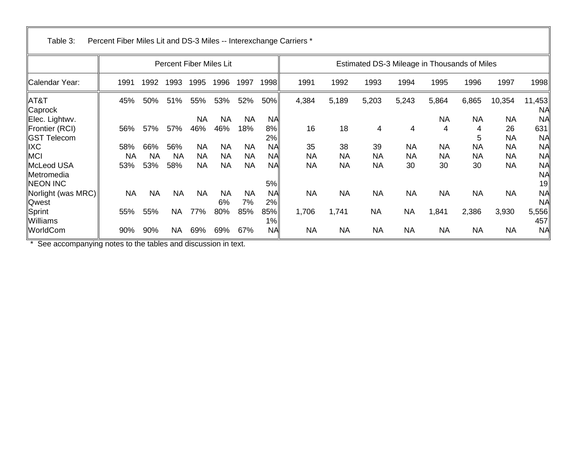| Table 3:                                    | Percent Fiber Miles Lit and DS-3 Miles -- Interexchange Carriers * |           |           |                         |                  |                  |                 |           |           |                                              |           |                |                |           |                              |
|---------------------------------------------|--------------------------------------------------------------------|-----------|-----------|-------------------------|------------------|------------------|-----------------|-----------|-----------|----------------------------------------------|-----------|----------------|----------------|-----------|------------------------------|
|                                             |                                                                    |           |           | Percent Fiber Miles Lit |                  |                  |                 |           |           | Estimated DS-3 Mileage in Thousands of Miles |           |                |                |           |                              |
| Calendar Year:                              | 1991                                                               | 1992      | 1993      | 1995                    | 1996             | 1997             | 1998            | 1991      | 1992      | 1993                                         | 1994      | 1995           | 1996           | 1997      | 1998                         |
| $\parallel$ AT&T<br>∥Caprock                | 45%                                                                | 50%       | 51%       | 55%                     | 53%              | 52%              | 50%             | 4,384     | 5,189     | 5,203                                        | 5,243     | 5,864          | 6,865          | 10,354    | 11,453<br><b>NA</b>          |
| Elec. Lightwv.<br>Frontier (RCI)            | 56%                                                                | 57%       | 57%       | <b>NA</b><br>46%        | <b>NA</b><br>46% | <b>NA</b><br>18% | <b>NA</b><br>8% | 16        | 18        | 4                                            | 4         | <b>NA</b><br>4 | <b>NA</b><br>4 | NA<br>26  | <b>NA</b><br>631             |
| <b>GST Telecom</b>                          |                                                                    |           |           |                         |                  |                  | 2%              |           |           |                                              |           |                | 5              | <b>NA</b> | <b>NA</b>                    |
| <b>IXC</b>                                  | 58%                                                                | 66%       | 56%       | <b>NA</b>               | <b>NA</b>        | <b>NA</b>        | <b>NA</b>       | 35        | 38        | 39                                           | <b>NA</b> | <b>NA</b>      | <b>NA</b>      | <b>NA</b> | <b>NA</b>                    |
| MCI                                         | NA                                                                 | <b>NA</b> | <b>NA</b> | ΝA                      | <b>NA</b>        | <b>NA</b>        | <b>NA</b>       | <b>NA</b> | <b>NA</b> | <b>NA</b>                                    | <b>NA</b> | <b>NA</b>      | ΝA             | NA        | <b>NA</b>                    |
| McLeod USA<br>Metromedia<br><b>NEON INC</b> | 53%                                                                | 53%       | 58%       | NA                      | <b>NA</b>        | <b>NA</b>        | <b>NA</b><br>5% | <b>NA</b> | <b>NA</b> | <b>NA</b>                                    | 30        | 30             | 30             | <b>NA</b> | <b>NA</b><br><b>NA</b><br>19 |
| Norlight (was MRC)<br>Qwest                 | NA                                                                 | <b>NA</b> | <b>NA</b> | <b>NA</b>               | <b>NA</b><br>6%  | <b>NA</b><br>7%  | <b>NA</b><br>2% | <b>NA</b> | <b>NA</b> | <b>NA</b>                                    | <b>NA</b> | <b>NA</b>      | <b>NA</b>      | <b>NA</b> | <b>NA</b><br>NA              |
| Sprint<br>Williams                          | 55%                                                                | 55%       | NA        | 77%                     | 80%              | 85%              | 85%<br>1%       | 1,706     | 1,741     | <b>NA</b>                                    | <b>NA</b> | 1,841          | 2,386          | 3,930     | 5,556<br>457                 |
| WorldCom                                    | 90%                                                                | 90%       | <b>NA</b> | 69%                     | 69%              | 67%              | <b>NA</b>       | <b>NA</b> | <b>NA</b> | <b>NA</b>                                    | <b>NA</b> | <b>NA</b>      | <b>NA</b>      | <b>NA</b> | <b>NA</b>                    |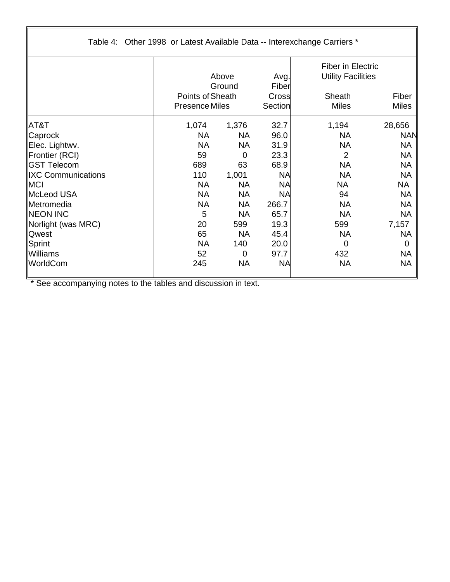| Table 4: Other 1998 or Latest Available Data -- Interexchange Carriers * |                       |                 |                        |                                                                 |                |
|--------------------------------------------------------------------------|-----------------------|-----------------|------------------------|-----------------------------------------------------------------|----------------|
|                                                                          | Points of Sheath      | Above<br>Ground | Avg.<br>Fiber<br>Cross | <b>Fiber in Electric</b><br><b>Utility Facilities</b><br>Sheath | Fiber          |
|                                                                          | <b>Presence Miles</b> |                 | Section                | <b>Miles</b>                                                    | <b>Miles</b>   |
| $\parallel$ AT&T                                                         | 1,074                 | 1,376           | 32.7                   | 1,194                                                           | 28,656         |
| ∥Caprock                                                                 | <b>NA</b>             | <b>NA</b>       | 96.0                   | <b>NA</b>                                                       | <b>NAN</b>     |
| Elec. Lightwv.                                                           | <b>NA</b>             | <b>NA</b>       | 31.9                   | <b>NA</b>                                                       | <b>NA</b>      |
| Frontier (RCI)                                                           | 59                    | $\mathbf 0$     | 23.3                   | $\overline{2}$                                                  | <b>NA</b>      |
| ∥GST Telecom                                                             | 689                   | 63              | 68.9                   | <b>NA</b>                                                       | <b>NA</b>      |
| <b>IXC Communications</b>                                                | 110                   | 1,001           | <b>NA</b>              | <b>NA</b>                                                       | <b>NA</b>      |
| $\parallel$ MCI                                                          | <b>NA</b>             | <b>NA</b>       | <b>NA</b>              | <b>NA</b>                                                       | NA             |
| McLeod USA                                                               | <b>NA</b>             | <b>NA</b>       | <b>NA</b>              | 94                                                              | <b>NA</b>      |
| <b>Metromedia</b>                                                        | <b>NA</b>             | <b>NA</b>       | 266.7                  | <b>NA</b>                                                       | <b>NA</b>      |
| <b>INEON INC</b>                                                         | 5                     | <b>NA</b>       | 65.7                   | <b>NA</b>                                                       | <b>NA</b>      |
| Norlight (was MRC)                                                       | 20                    | 599             | 19.3                   | 599                                                             | 7,157          |
| <b>Qwest</b>                                                             | 65                    | <b>NA</b>       | 45.4                   | <b>NA</b>                                                       | <b>NA</b>      |
| Sprint                                                                   | <b>NA</b>             | 140             | 20.0                   | $\overline{0}$                                                  | $\overline{0}$ |
| Williams                                                                 | 52                    | $\mathbf 0$     | 97.7                   | 432                                                             | <b>NA</b>      |
| WorldCom                                                                 | 245                   | <b>NA</b>       | <b>NA</b>              | <b>NA</b>                                                       | <b>NA</b>      |

 $\sqrt{2}$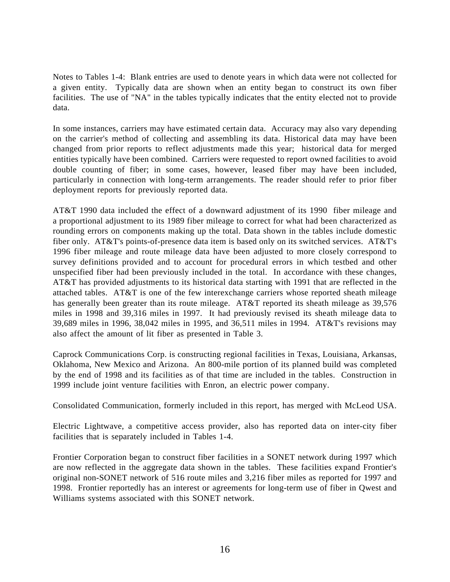Notes to Tables 1-4: Blank entries are used to denote years in which data were not collected for a given entity. Typically data are shown when an entity began to construct its own fiber facilities. The use of "NA" in the tables typically indicates that the entity elected not to provide data.

In some instances, carriers may have estimated certain data. Accuracy may also vary depending on the carrier's method of collecting and assembling its data. Historical data may have been changed from prior reports to reflect adjustments made this year; historical data for merged entities typically have been combined. Carriers were requested to report owned facilities to avoid double counting of fiber; in some cases, however, leased fiber may have been included, particularly in connection with long-term arrangements. The reader should refer to prior fiber deployment reports for previously reported data.

AT&T 1990 data included the effect of a downward adjustment of its 1990 fiber mileage and a proportional adjustment to its 1989 fiber mileage to correct for what had been characterized as rounding errors on components making up the total. Data shown in the tables include domestic fiber only. AT&T's points-of-presence data item is based only on its switched services. AT&T's 1996 fiber mileage and route mileage data have been adjusted to more closely correspond to survey definitions provided and to account for procedural errors in which testbed and other unspecified fiber had been previously included in the total. In accordance with these changes, AT&T has provided adjustments to its historical data starting with 1991 that are reflected in the attached tables. AT&T is one of the few interexchange carriers whose reported sheath mileage has generally been greater than its route mileage. AT&T reported its sheath mileage as 39,576 miles in 1998 and 39,316 miles in 1997. It had previously revised its sheath mileage data to 39,689 miles in 1996, 38,042 miles in 1995, and 36,511 miles in 1994. AT&T's revisions may also affect the amount of lit fiber as presented in Table 3.

Caprock Communications Corp. is constructing regional facilities in Texas, Louisiana, Arkansas, Oklahoma, New Mexico and Arizona. An 800-mile portion of its planned build was completed by the end of 1998 and its facilities as of that time are included in the tables. Construction in 1999 include joint venture facilities with Enron, an electric power company.

Consolidated Communication, formerly included in this report, has merged with McLeod USA.

Electric Lightwave, a competitive access provider, also has reported data on inter-city fiber facilities that is separately included in Tables 1-4.

Frontier Corporation began to construct fiber facilities in a SONET network during 1997 which are now reflected in the aggregate data shown in the tables. These facilities expand Frontier's original non-SONET network of 516 route miles and 3,216 fiber miles as reported for 1997 and 1998. Frontier reportedly has an interest or agreements for long-term use of fiber in Qwest and Williams systems associated with this SONET network.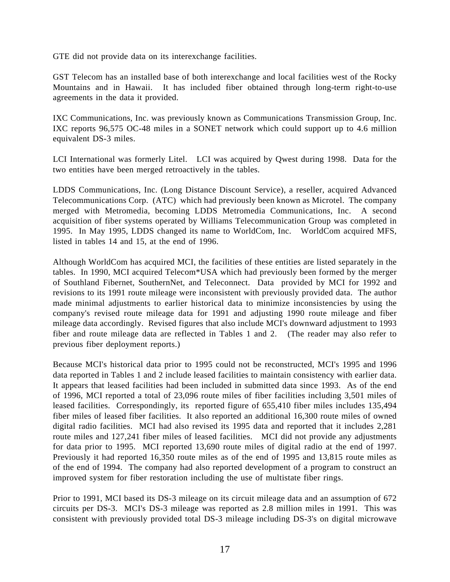GTE did not provide data on its interexchange facilities.

GST Telecom has an installed base of both interexchange and local facilities west of the Rocky Mountains and in Hawaii. It has included fiber obtained through long-term right-to-use agreements in the data it provided.

IXC Communications, Inc. was previously known as Communications Transmission Group, Inc. IXC reports 96,575 OC-48 miles in a SONET network which could support up to 4.6 million equivalent DS-3 miles.

LCI International was formerly Litel. LCI was acquired by Qwest during 1998. Data for the two entities have been merged retroactively in the tables.

LDDS Communications, Inc. (Long Distance Discount Service), a reseller, acquired Advanced Telecommunications Corp. (ATC) which had previously been known as Microtel. The company merged with Metromedia, becoming LDDS Metromedia Communications, Inc. A second acquisition of fiber systems operated by Williams Telecommunication Group was completed in 1995. In May 1995, LDDS changed its name to WorldCom, Inc. WorldCom acquired MFS, listed in tables 14 and 15, at the end of 1996.

Although WorldCom has acquired MCI, the facilities of these entities are listed separately in the tables. In 1990, MCI acquired Telecom\*USA which had previously been formed by the merger of Southland Fibernet, SouthernNet, and Teleconnect. Data provided by MCI for 1992 and revisions to its 1991 route mileage were inconsistent with previously provided data. The author made minimal adjustments to earlier historical data to minimize inconsistencies by using the company's revised route mileage data for 1991 and adjusting 1990 route mileage and fiber mileage data accordingly. Revised figures that also include MCI's downward adjustment to 1993 fiber and route mileage data are reflected in Tables 1 and 2. (The reader may also refer to previous fiber deployment reports.)

Because MCI's historical data prior to 1995 could not be reconstructed, MCI's 1995 and 1996 data reported in Tables 1 and 2 include leased facilities to maintain consistency with earlier data. It appears that leased facilities had been included in submitted data since 1993. As of the end of 1996, MCI reported a total of 23,096 route miles of fiber facilities including 3,501 miles of leased facilities. Correspondingly, its reported figure of 655,410 fiber miles includes 135,494 fiber miles of leased fiber facilities. It also reported an additional 16,300 route miles of owned digital radio facilities. MCI had also revised its 1995 data and reported that it includes 2,281 route miles and 127,241 fiber miles of leased facilities. MCI did not provide any adjustments for data prior to 1995. MCI reported 13,690 route miles of digital radio at the end of 1997. Previously it had reported 16,350 route miles as of the end of 1995 and 13,815 route miles as of the end of 1994. The company had also reported development of a program to construct an improved system for fiber restoration including the use of multistate fiber rings.

Prior to 1991, MCI based its DS-3 mileage on its circuit mileage data and an assumption of 672 circuits per DS-3. MCI's DS-3 mileage was reported as 2.8 million miles in 1991. This was consistent with previously provided total DS-3 mileage including DS-3's on digital microwave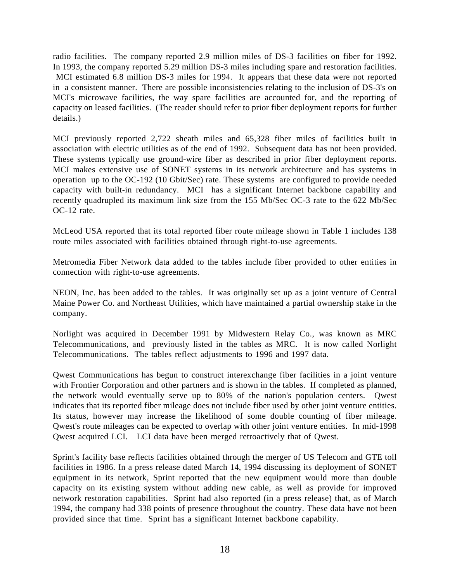radio facilities. The company reported 2.9 million miles of DS-3 facilities on fiber for 1992. In 1993, the company reported 5.29 million DS-3 miles including spare and restoration facilities. MCI estimated 6.8 million DS-3 miles for 1994. It appears that these data were not reported in a consistent manner. There are possible inconsistencies relating to the inclusion of DS-3's on MCI's microwave facilities, the way spare facilities are accounted for, and the reporting of capacity on leased facilities. (The reader should refer to prior fiber deployment reports for further details.)

MCI previously reported 2,722 sheath miles and 65,328 fiber miles of facilities built in association with electric utilities as of the end of 1992. Subsequent data has not been provided. These systems typically use ground-wire fiber as described in prior fiber deployment reports. MCI makes extensive use of SONET systems in its network architecture and has systems in operation up to the OC-192 (10 Gbit/Sec) rate. These systems are configured to provide needed capacity with built-in redundancy. MCI has a significant Internet backbone capability and recently quadrupled its maximum link size from the 155 Mb/Sec OC-3 rate to the 622 Mb/Sec OC-12 rate.

McLeod USA reported that its total reported fiber route mileage shown in Table 1 includes 138 route miles associated with facilities obtained through right-to-use agreements.

Metromedia Fiber Network data added to the tables include fiber provided to other entities in connection with right-to-use agreements.

NEON, Inc. has been added to the tables. It was originally set up as a joint venture of Central Maine Power Co. and Northeast Utilities, which have maintained a partial ownership stake in the company.

Norlight was acquired in December 1991 by Midwestern Relay Co., was known as MRC Telecommunications, and previously listed in the tables as MRC. It is now called Norlight Telecommunications. The tables reflect adjustments to 1996 and 1997 data.

Qwest Communications has begun to construct interexchange fiber facilities in a joint venture with Frontier Corporation and other partners and is shown in the tables. If completed as planned, the network would eventually serve up to 80% of the nation's population centers. Qwest indicates that its reported fiber mileage does not include fiber used by other joint venture entities. Its status, however may increase the likelihood of some double counting of fiber mileage. Qwest's route mileages can be expected to overlap with other joint venture entities. In mid-1998 Qwest acquired LCI. LCI data have been merged retroactively that of Qwest.

Sprint's facility base reflects facilities obtained through the merger of US Telecom and GTE toll facilities in 1986. In a press release dated March 14, 1994 discussing its deployment of SONET equipment in its network, Sprint reported that the new equipment would more than double capacity on its existing system without adding new cable, as well as provide for improved network restoration capabilities. Sprint had also reported (in a press release) that, as of March 1994, the company had 338 points of presence throughout the country. These data have not been provided since that time. Sprint has a significant Internet backbone capability.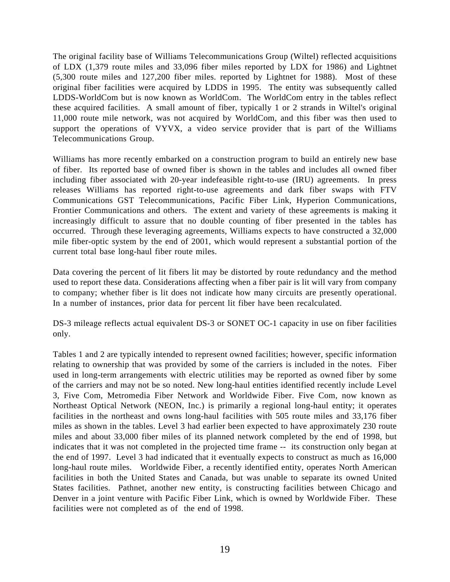The original facility base of Williams Telecommunications Group (Wiltel) reflected acquisitions of LDX (1,379 route miles and 33,096 fiber miles reported by LDX for 1986) and Lightnet (5,300 route miles and 127,200 fiber miles. reported by Lightnet for 1988). Most of these original fiber facilities were acquired by LDDS in 1995. The entity was subsequently called LDDS-WorldCom but is now known as WorldCom. The WorldCom entry in the tables reflect these acquired facilities. A small amount of fiber, typically 1 or 2 strands in Wiltel's original 11,000 route mile network, was not acquired by WorldCom, and this fiber was then used to support the operations of VYVX, a video service provider that is part of the Williams Telecommunications Group.

Williams has more recently embarked on a construction program to build an entirely new base of fiber. Its reported base of owned fiber is shown in the tables and includes all owned fiber including fiber associated with 20-year indefeasible right-to-use (IRU) agreements. In press releases Williams has reported right-to-use agreements and dark fiber swaps with FTV Communications GST Telecommunications, Pacific Fiber Link, Hyperion Communications, Frontier Communications and others. The extent and variety of these agreements is making it increasingly difficult to assure that no double counting of fiber presented in the tables has occurred. Through these leveraging agreements, Williams expects to have constructed a 32,000 mile fiber-optic system by the end of 2001, which would represent a substantial portion of the current total base long-haul fiber route miles.

Data covering the percent of lit fibers lit may be distorted by route redundancy and the method used to report these data. Considerations affecting when a fiber pair is lit will vary from company to company; whether fiber is lit does not indicate how many circuits are presently operational. In a number of instances, prior data for percent lit fiber have been recalculated.

DS-3 mileage reflects actual equivalent DS-3 or SONET OC-1 capacity in use on fiber facilities only.

Tables 1 and 2 are typically intended to represent owned facilities; however, specific information relating to ownership that was provided by some of the carriers is included in the notes. Fiber used in long-term arrangements with electric utilities may be reported as owned fiber by some of the carriers and may not be so noted. New long-haul entities identified recently include Level 3, Five Com, Metromedia Fiber Network and Worldwide Fiber. Five Com, now known as Northeast Optical Network (NEON, Inc.) is primarily a regional long-haul entity; it operates facilities in the northeast and owns long-haul facilities with 505 route miles and 33,176 fiber miles as shown in the tables. Level 3 had earlier been expected to have approximately 230 route miles and about 33,000 fiber miles of its planned network completed by the end of 1998, but indicates that it was not completed in the projected time frame -- its construction only began at the end of 1997. Level 3 had indicated that it eventually expects to construct as much as 16,000 long-haul route miles. Worldwide Fiber, a recently identified entity, operates North American facilities in both the United States and Canada, but was unable to separate its owned United States facilities. Pathnet, another new entity, is constructing facilities between Chicago and Denver in a joint venture with Pacific Fiber Link, which is owned by Worldwide Fiber. These facilities were not completed as of the end of 1998.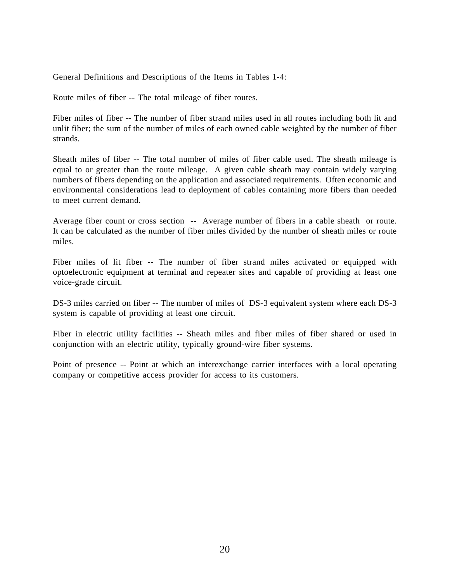General Definitions and Descriptions of the Items in Tables 1-4:

Route miles of fiber -- The total mileage of fiber routes.

Fiber miles of fiber -- The number of fiber strand miles used in all routes including both lit and unlit fiber; the sum of the number of miles of each owned cable weighted by the number of fiber strands.

Sheath miles of fiber -- The total number of miles of fiber cable used. The sheath mileage is equal to or greater than the route mileage. A given cable sheath may contain widely varying numbers of fibers depending on the application and associated requirements. Often economic and environmental considerations lead to deployment of cables containing more fibers than needed to meet current demand.

Average fiber count or cross section -- Average number of fibers in a cable sheath or route. It can be calculated as the number of fiber miles divided by the number of sheath miles or route miles.

Fiber miles of lit fiber -- The number of fiber strand miles activated or equipped with optoelectronic equipment at terminal and repeater sites and capable of providing at least one voice-grade circuit.

DS-3 miles carried on fiber -- The number of miles of DS-3 equivalent system where each DS-3 system is capable of providing at least one circuit.

Fiber in electric utility facilities -- Sheath miles and fiber miles of fiber shared or used in conjunction with an electric utility, typically ground-wire fiber systems.

Point of presence -- Point at which an interexchange carrier interfaces with a local operating company or competitive access provider for access to its customers.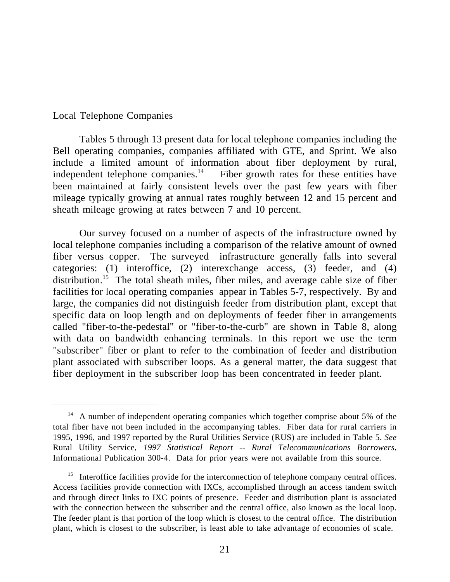#### Local Telephone Companies

 $\overline{a}$ 

Tables 5 through 13 present data for local telephone companies including the Bell operating companies, companies affiliated with GTE, and Sprint. We also include a limited amount of information about fiber deployment by rural, independent telephone companies.<sup>14</sup> Fiber growth rates for these entities have been maintained at fairly consistent levels over the past few years with fiber mileage typically growing at annual rates roughly between 12 and 15 percent and sheath mileage growing at rates between 7 and 10 percent.

Our survey focused on a number of aspects of the infrastructure owned by local telephone companies including a comparison of the relative amount of owned fiber versus copper. The surveyed infrastructure generally falls into several categories: (1) interoffice, (2) interexchange access, (3) feeder, and (4) distribution.<sup>15</sup> The total sheath miles, fiber miles, and average cable size of fiber facilities for local operating companies appear in Tables 5-7, respectively. By and large, the companies did not distinguish feeder from distribution plant, except that specific data on loop length and on deployments of feeder fiber in arrangements called "fiber-to-the-pedestal" or "fiber-to-the-curb" are shown in Table 8, along with data on bandwidth enhancing terminals. In this report we use the term "subscriber" fiber or plant to refer to the combination of feeder and distribution plant associated with subscriber loops. As a general matter, the data suggest that fiber deployment in the subscriber loop has been concentrated in feeder plant.

<sup>&</sup>lt;sup>14</sup> A number of independent operating companies which together comprise about 5% of the total fiber have not been included in the accompanying tables. Fiber data for rural carriers in 1995, 1996, and 1997 reported by the Rural Utilities Service (RUS) are included in Table 5. *See* Rural Utility Service, *1997 Statistical Report -- Rural Telecommunications Borrowers*, Informational Publication 300-4. Data for prior years were not available from this source.

<sup>&</sup>lt;sup>15</sup> Interoffice facilities provide for the interconnection of telephone company central offices. Access facilities provide connection with IXCs, accomplished through an access tandem switch and through direct links to IXC points of presence. Feeder and distribution plant is associated with the connection between the subscriber and the central office, also known as the local loop. The feeder plant is that portion of the loop which is closest to the central office. The distribution plant, which is closest to the subscriber, is least able to take advantage of economies of scale.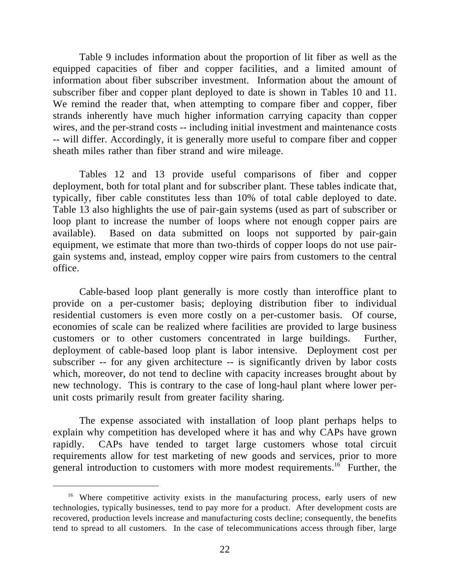Table 9 includes information about the proportion of lit fiber as well as the equipped capacities of fiber and copper facilities, and a limited amount of information about fiber subscriber investment. Information about the amount of subscriber fiber and copper plant deployed to date is shown in Tables 10 and 11. We remind the reader that, when attempting to compare fiber and copper, fiber strands inherently have much higher information carrying capacity than copper wires, and the per-strand costs -- including initial investment and maintenance costs -- will differ. Accordingly, it is generally more useful to compare fiber and copper sheath miles rather than fiber strand and wire mileage.

Tables 12 and 13 provide useful comparisons of fiber and copper deployment, both for total plant and for subscriber plant. These tables indicate that, typically, fiber cable constitutes less than 10% of total cable deployed to date. Table 13 also highlights the use of pair-gain systems (used as part of subscriber or loop plant to increase the number of loops where not enough copper pairs are available). Based on data submitted on loops not supported by pair-gain equipment, we estimate that more than two-thirds of copper loops do not use pairgain systems and, instead, employ copper wire pairs from customers to the central office.

Cable-based loop plant generally is more costly than interoffice plant to provide on a per-customer basis; deploying distribution fiber to individual residential customers is even more costly on a per-customer basis. Of course, economies of scale can be realized where facilities are provided to large business customers or to other customers concentrated in large buildings. Further, deployment of cable-based loop plant is labor intensive. Deployment cost per subscriber -- for any given architecture -- is significantly driven by labor costs which, moreover, do not tend to decline with capacity increases brought about by new technology. This is contrary to the case of long-haul plant where lower perunit costs primarily result from greater facility sharing.

The expense associated with installation of loop plant perhaps helps to explain why competition has developed where it has and why CAPs have grown rapidly. CAPs have tended to target large customers whose total circuit requirements allow for test marketing of new goods and services, prior to more general introduction to customers with more modest requirements.<sup>16</sup> Further, the

<sup>&</sup>lt;sup>16</sup> Where competitive activity exists in the manufacturing process, early users of new technologies, typically businesses, tend to pay more for a product. After development costs are recovered, production levels increase and manufacturing costs decline; consequently, the benefits tend to spread to all customers. In the case of telecommunications access through fiber, large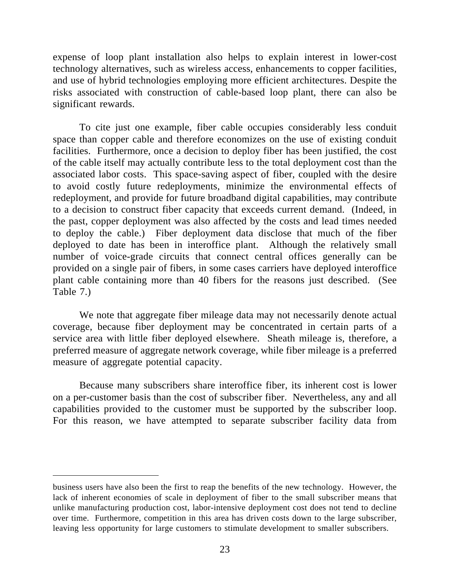expense of loop plant installation also helps to explain interest in lower-cost technology alternatives, such as wireless access, enhancements to copper facilities, and use of hybrid technologies employing more efficient architectures. Despite the risks associated with construction of cable-based loop plant, there can also be significant rewards.

To cite just one example, fiber cable occupies considerably less conduit space than copper cable and therefore economizes on the use of existing conduit facilities. Furthermore, once a decision to deploy fiber has been justified, the cost of the cable itself may actually contribute less to the total deployment cost than the associated labor costs. This space-saving aspect of fiber, coupled with the desire to avoid costly future redeployments, minimize the environmental effects of redeployment, and provide for future broadband digital capabilities, may contribute to a decision to construct fiber capacity that exceeds current demand. (Indeed, in the past, copper deployment was also affected by the costs and lead times needed to deploy the cable.) Fiber deployment data disclose that much of the fiber deployed to date has been in interoffice plant. Although the relatively small number of voice-grade circuits that connect central offices generally can be provided on a single pair of fibers, in some cases carriers have deployed interoffice plant cable containing more than 40 fibers for the reasons just described. (See Table 7.)

We note that aggregate fiber mileage data may not necessarily denote actual coverage, because fiber deployment may be concentrated in certain parts of a service area with little fiber deployed elsewhere. Sheath mileage is, therefore, a preferred measure of aggregate network coverage, while fiber mileage is a preferred measure of aggregate potential capacity.

Because many subscribers share interoffice fiber, its inherent cost is lower on a per-customer basis than the cost of subscriber fiber. Nevertheless, any and all capabilities provided to the customer must be supported by the subscriber loop. For this reason, we have attempted to separate subscriber facility data from

business users have also been the first to reap the benefits of the new technology. However, the lack of inherent economies of scale in deployment of fiber to the small subscriber means that unlike manufacturing production cost, labor-intensive deployment cost does not tend to decline over time. Furthermore, competition in this area has driven costs down to the large subscriber, leaving less opportunity for large customers to stimulate development to smaller subscribers.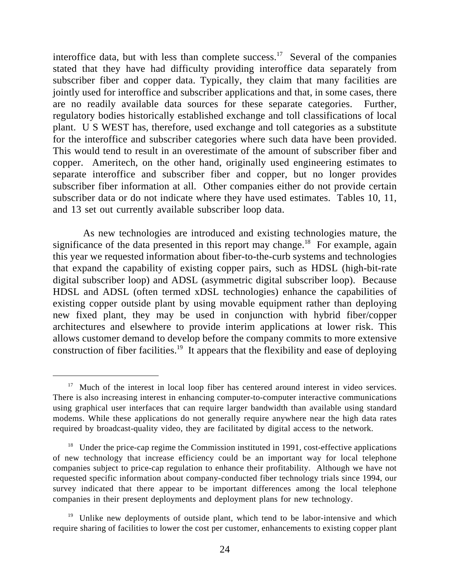interoffice data, but with less than complete success.<sup>17</sup> Several of the companies stated that they have had difficulty providing interoffice data separately from subscriber fiber and copper data. Typically, they claim that many facilities are jointly used for interoffice and subscriber applications and that, in some cases, there are no readily available data sources for these separate categories. Further, regulatory bodies historically established exchange and toll classifications of local plant. U S WEST has, therefore, used exchange and toll categories as a substitute for the interoffice and subscriber categories where such data have been provided. This would tend to result in an overestimate of the amount of subscriber fiber and copper. Ameritech, on the other hand, originally used engineering estimates to separate interoffice and subscriber fiber and copper, but no longer provides subscriber fiber information at all. Other companies either do not provide certain subscriber data or do not indicate where they have used estimates. Tables 10, 11, and 13 set out currently available subscriber loop data.

 As new technologies are introduced and existing technologies mature, the significance of the data presented in this report may change.<sup>18</sup> For example, again this year we requested information about fiber-to-the-curb systems and technologies that expand the capability of existing copper pairs, such as HDSL (high-bit-rate digital subscriber loop) and ADSL (asymmetric digital subscriber loop). Because HDSL and ADSL (often termed xDSL technologies) enhance the capabilities of existing copper outside plant by using movable equipment rather than deploying new fixed plant, they may be used in conjunction with hybrid fiber/copper architectures and elsewhere to provide interim applications at lower risk. This allows customer demand to develop before the company commits to more extensive construction of fiber facilities.<sup>19</sup> It appears that the flexibility and ease of deploying

<sup>&</sup>lt;sup>17</sup> Much of the interest in local loop fiber has centered around interest in video services. There is also increasing interest in enhancing computer-to-computer interactive communications using graphical user interfaces that can require larger bandwidth than available using standard modems. While these applications do not generally require anywhere near the high data rates required by broadcast-quality video, they are facilitated by digital access to the network.

<sup>&</sup>lt;sup>18</sup> Under the price-cap regime the Commission instituted in 1991, cost-effective applications of new technology that increase efficiency could be an important way for local telephone companies subject to price-cap regulation to enhance their profitability. Although we have not requested specific information about company-conducted fiber technology trials since 1994, our survey indicated that there appear to be important differences among the local telephone companies in their present deployments and deployment plans for new technology.

<sup>&</sup>lt;sup>19</sup> Unlike new deployments of outside plant, which tend to be labor-intensive and which require sharing of facilities to lower the cost per customer, enhancements to existing copper plant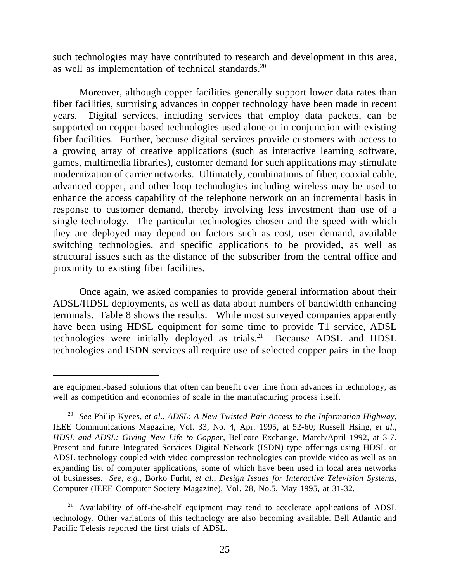such technologies may have contributed to research and development in this area, as well as implementation of technical standards.<sup>20</sup>

Moreover, although copper facilities generally support lower data rates than fiber facilities, surprising advances in copper technology have been made in recent years. Digital services, including services that employ data packets, can be supported on copper-based technologies used alone or in conjunction with existing fiber facilities. Further, because digital services provide customers with access to a growing array of creative applications (such as interactive learning software, games, multimedia libraries), customer demand for such applications may stimulate modernization of carrier networks. Ultimately, combinations of fiber, coaxial cable, advanced copper, and other loop technologies including wireless may be used to enhance the access capability of the telephone network on an incremental basis in response to customer demand, thereby involving less investment than use of a single technology. The particular technologies chosen and the speed with which they are deployed may depend on factors such as cost, user demand, available switching technologies, and specific applications to be provided, as well as structural issues such as the distance of the subscriber from the central office and proximity to existing fiber facilities.

Once again, we asked companies to provide general information about their ADSL/HDSL deployments, as well as data about numbers of bandwidth enhancing terminals. Table 8 shows the results. While most surveyed companies apparently have been using HDSL equipment for some time to provide T1 service, ADSL technologies were initially deployed as trials.<sup>21</sup> Because ADSL and HDSL technologies and ISDN services all require use of selected copper pairs in the loop

are equipment-based solutions that often can benefit over time from advances in technology, as well as competition and economies of scale in the manufacturing process itself.

<sup>20</sup> *See* Philip Kyees, *et al.*, *ADSL: A New Twisted-Pair Access to the Information Highway*, IEEE Communications Magazine, Vol. 33, No. 4, Apr. 1995, at 52-60; Russell Hsing, *et al.*, *HDSL and ADSL: Giving New Life to Copper*, Bellcore Exchange, March/April 1992, at 3-7. Present and future Integrated Services Digital Network (ISDN) type offerings using HDSL or ADSL technology coupled with video compression technologies can provide video as well as an expanding list of computer applications, some of which have been used in local area networks of businesses. *See*, *e.g.*, Borko Furht, *et al.*, *Design Issues for Interactive Television Systems*, Computer (IEEE Computer Society Magazine), Vol. 28, No.5, May 1995, at 31-32.

 $21$  Availability of off-the-shelf equipment may tend to accelerate applications of ADSL technology. Other variations of this technology are also becoming available. Bell Atlantic and Pacific Telesis reported the first trials of ADSL.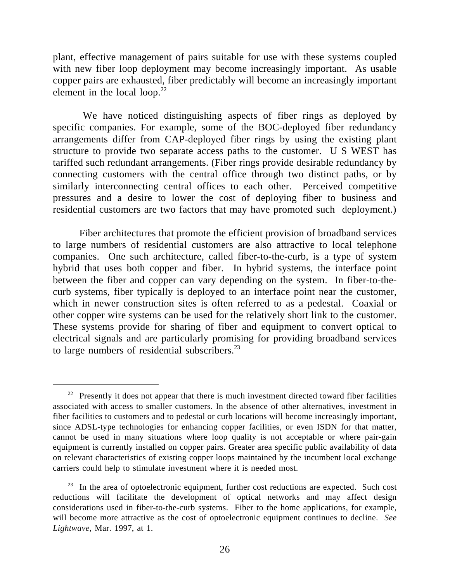plant, effective management of pairs suitable for use with these systems coupled with new fiber loop deployment may become increasingly important. As usable copper pairs are exhausted, fiber predictably will become an increasingly important element in the local loop. $22$ 

 We have noticed distinguishing aspects of fiber rings as deployed by specific companies. For example, some of the BOC-deployed fiber redundancy arrangements differ from CAP-deployed fiber rings by using the existing plant structure to provide two separate access paths to the customer. U S WEST has tariffed such redundant arrangements. (Fiber rings provide desirable redundancy by connecting customers with the central office through two distinct paths, or by similarly interconnecting central offices to each other. Perceived competitive pressures and a desire to lower the cost of deploying fiber to business and residential customers are two factors that may have promoted such deployment.)

Fiber architectures that promote the efficient provision of broadband services to large numbers of residential customers are also attractive to local telephone companies. One such architecture, called fiber-to-the-curb, is a type of system hybrid that uses both copper and fiber. In hybrid systems, the interface point between the fiber and copper can vary depending on the system. In fiber-to-thecurb systems, fiber typically is deployed to an interface point near the customer, which in newer construction sites is often referred to as a pedestal. Coaxial or other copper wire systems can be used for the relatively short link to the customer. These systems provide for sharing of fiber and equipment to convert optical to electrical signals and are particularly promising for providing broadband services to large numbers of residential subscribers. $^{23}$ 

 $22$  Presently it does not appear that there is much investment directed toward fiber facilities associated with access to smaller customers. In the absence of other alternatives, investment in fiber facilities to customers and to pedestal or curb locations will become increasingly important, since ADSL-type technologies for enhancing copper facilities, or even ISDN for that matter, cannot be used in many situations where loop quality is not acceptable or where pair-gain equipment is currently installed on copper pairs. Greater area specific public availability of data on relevant characteristics of existing copper loops maintained by the incumbent local exchange carriers could help to stimulate investment where it is needed most.

<sup>&</sup>lt;sup>23</sup> In the area of optoelectronic equipment, further cost reductions are expected. Such cost reductions will facilitate the development of optical networks and may affect design considerations used in fiber-to-the-curb systems. Fiber to the home applications, for example, will become more attractive as the cost of optoelectronic equipment continues to decline. *See Lightwave*, Mar. 1997, at 1.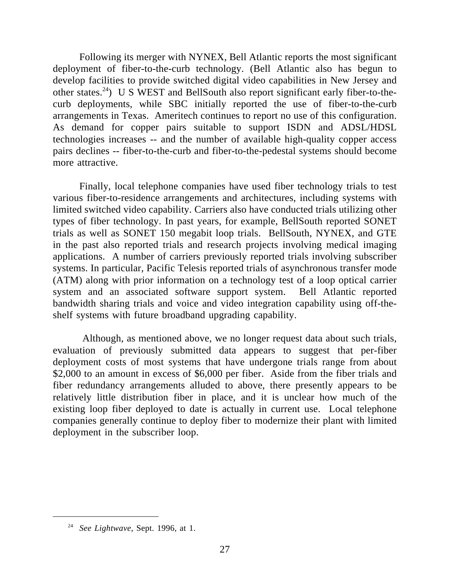Following its merger with NYNEX, Bell Atlantic reports the most significant deployment of fiber-to-the-curb technology. (Bell Atlantic also has begun to develop facilities to provide switched digital video capabilities in New Jersey and other states.<sup>24</sup>) U S WEST and BellSouth also report significant early fiber-to-thecurb deployments, while SBC initially reported the use of fiber-to-the-curb arrangements in Texas. Ameritech continues to report no use of this configuration. As demand for copper pairs suitable to support ISDN and ADSL/HDSL technologies increases -- and the number of available high-quality copper access pairs declines -- fiber-to-the-curb and fiber-to-the-pedestal systems should become more attractive.

Finally, local telephone companies have used fiber technology trials to test various fiber-to-residence arrangements and architectures, including systems with limited switched video capability. Carriers also have conducted trials utilizing other types of fiber technology. In past years, for example, BellSouth reported SONET trials as well as SONET 150 megabit loop trials. BellSouth, NYNEX, and GTE in the past also reported trials and research projects involving medical imaging applications. A number of carriers previously reported trials involving subscriber systems. In particular, Pacific Telesis reported trials of asynchronous transfer mode (ATM) along with prior information on a technology test of a loop optical carrier system and an associated software support system. Bell Atlantic reported bandwidth sharing trials and voice and video integration capability using off-theshelf systems with future broadband upgrading capability.

 Although, as mentioned above, we no longer request data about such trials, evaluation of previously submitted data appears to suggest that per-fiber deployment costs of most systems that have undergone trials range from about \$2,000 to an amount in excess of \$6,000 per fiber. Aside from the fiber trials and fiber redundancy arrangements alluded to above, there presently appears to be relatively little distribution fiber in place, and it is unclear how much of the existing loop fiber deployed to date is actually in current use. Local telephone companies generally continue to deploy fiber to modernize their plant with limited deployment in the subscriber loop.

<sup>24</sup> *See Lightwave*, Sept. 1996, at 1.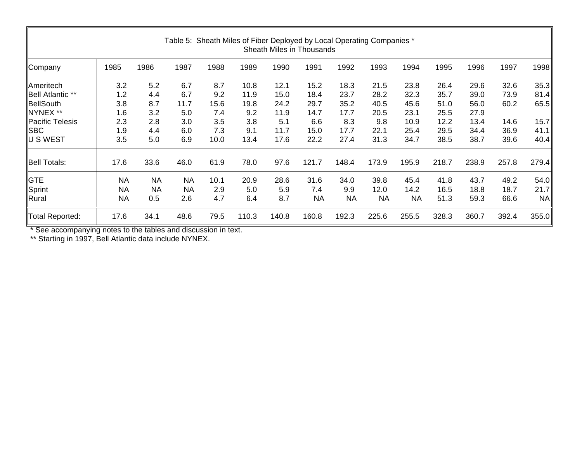| Table 5: Sheath Miles of Fiber Deployed by Local Operating Companies *<br>Sheath Miles in Thousands |           |           |           |      |       |       |           |           |           |           |       |       |       |           |
|-----------------------------------------------------------------------------------------------------|-----------|-----------|-----------|------|-------|-------|-----------|-----------|-----------|-----------|-------|-------|-------|-----------|
| Company                                                                                             | 1985      | 1986      | 1987      | 1988 | 1989  | 1990  | 1991      | 1992      | 1993      | 1994      | 1995  | 1996  | 1997  | 1998      |
| <b>Ameritech</b>                                                                                    | 3.2       | 5.2       | 6.7       | 8.7  | 10.8  | 12.1  | 15.2      | 18.3      | 21.5      | 23.8      | 26.4  | 29.6  | 32.6  | 35.3      |
| Bell Atlantic **                                                                                    | 1.2       | 4.4       | 6.7       | 9.2  | 11.9  | 15.0  | 18.4      | 23.7      | 28.2      | 32.3      | 35.7  | 39.0  | 73.9  | 81.4      |
| BellSouth                                                                                           | 3.8       | 8.7       | 11.7      | 15.6 | 19.8  | 24.2  | 29.7      | 35.2      | 40.5      | 45.6      | 51.0  | 56.0  | 60.2  | 65.5      |
| NYNEX **                                                                                            | 1.6       | 3.2       | 5.0       | 7.4  | 9.2   | 11.9  | 14.7      | 17.7      | 20.5      | 23.1      | 25.5  | 27.9  |       |           |
| Pacific Telesis                                                                                     | 2.3       | 2.8       | 3.0       | 3.5  | 3.8   | 5.1   | 6.6       | 8.3       | 9.8       | 10.9      | 12.2  | 13.4  | 14.6  | 15.7      |
| <b>SBC</b>                                                                                          | 1.9       | 4.4       | 6.0       | 7.3  | 9.1   | 11.7  | 15.0      | 17.7      | 22.1      | 25.4      | 29.5  | 34.4  | 36.9  | 41.1      |
| U S WEST                                                                                            | 3.5       | 5.0       | 6.9       | 10.0 | 13.4  | 17.6  | 22.2      | 27.4      | 31.3      | 34.7      | 38.5  | 38.7  | 39.6  | 40.4      |
| <b>Bell Totals:</b>                                                                                 | 17.6      | 33.6      | 46.0      | 61.9 | 78.0  | 97.6  | 121.7     | 148.4     | 173.9     | 195.9     | 218.7 | 238.9 | 257.8 | 279.4     |
| <b>GTE</b>                                                                                          | <b>NA</b> | <b>NA</b> | <b>NA</b> | 10.1 | 20.9  | 28.6  | 31.6      | 34.0      | 39.8      | 45.4      | 41.8  | 43.7  | 49.2  | 54.0      |
| Sprint                                                                                              | <b>NA</b> | <b>NA</b> | <b>NA</b> | 2.9  | 5.0   | 5.9   | 7.4       | 9.9       | 12.0      | 14.2      | 16.5  | 18.8  | 18.7  | 21.7      |
| Rural                                                                                               | <b>NA</b> | 0.5       | 2.6       | 4.7  | 6.4   | 8.7   | <b>NA</b> | <b>NA</b> | <b>NA</b> | <b>NA</b> | 51.3  | 59.3  | 66.6  | <b>NA</b> |
| Total Reported:                                                                                     | 17.6      | 34.1      | 48.6      | 79.5 | 110.3 | 140.8 | 160.8     | 192.3     | 225.6     | 255.5     | 328.3 | 360.7 | 392.4 | 355.0     |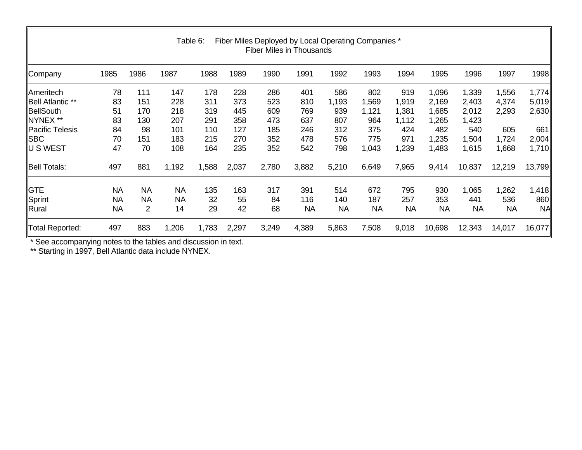| Fiber Miles Deployed by Local Operating Companies *<br>Table 6:<br><b>Fiber Miles in Thousands</b> |           |           |           |       |       |       |           |           |           |           |           |           |           |           |
|----------------------------------------------------------------------------------------------------|-----------|-----------|-----------|-------|-------|-------|-----------|-----------|-----------|-----------|-----------|-----------|-----------|-----------|
| Company                                                                                            | 1985      | 1986      | 1987      | 1988  | 1989  | 1990  | 1991      | 1992      | 1993      | 1994      | 1995      | 1996      | 1997      | 1998      |
| ∥Ameritech                                                                                         | 78        | 111       | 147       | 178   | 228   | 286   | 401       | 586       | 802       | 919       | 1,096     | 1,339     | 1,556     | 1,774     |
| Bell Atlantic **                                                                                   | 83        | 151       | 228       | 311   | 373   | 523   | 810       | 1,193     | 1,569     | 1,919     | 2,169     | 2,403     | 4,374     | 5,019     |
| BellSouth                                                                                          | 51        | 170       | 218       | 319   | 445   | 609   | 769       | 939       | 1,121     | 1,381     | 1,685     | 2,012     | 2,293     | 2,630     |
| NYNEX **                                                                                           | 83        | 130       | 207       | 291   | 358   | 473   | 637       | 807       | 964       | 1,112     | 1,265     | 1,423     |           |           |
| Pacific Telesis                                                                                    | 84        | 98        | 101       | 110   | 127   | 185   | 246       | 312       | 375       | 424       | 482       | 540       | 605       | 661       |
| SBC                                                                                                | 70        | 151       | 183       | 215   | 270   | 352   | 478       | 576       | 775       | 971       | 1,235     | ,504      | 1,724     | 2,004     |
| U S WEST                                                                                           | 47        | 70        | 108       | 164   | 235   | 352   | 542       | 798       | 1,043     | 1,239     | 1,483     | 1,615     | 1,668     | 1,710     |
| <b>Bell Totals:</b>                                                                                | 497       | 881       | 1,192     | 1,588 | 2,037 | 2,780 | 3,882     | 5,210     | 6,649     | 7,965     | 9,414     | 10,837    | 12,219    | 13,799    |
| $\parallel$ GTE                                                                                    | <b>NA</b> | <b>NA</b> | <b>NA</b> | 135   | 163   | 317   | 391       | 514       | 672       | 795       | 930       | 1,065     | 1,262     | 1,418     |
| Sprint                                                                                             | NА        | <b>NA</b> | <b>NA</b> | 32    | 55    | 84    | 116       | 140       | 187       | 257       | 353       | 441       | 536       | 860       |
| Rural                                                                                              | <b>NA</b> | 2         | 14        | 29    | 42    | 68    | <b>NA</b> | <b>NA</b> | <b>NA</b> | <b>NA</b> | <b>NA</b> | <b>NA</b> | <b>NA</b> | <b>NA</b> |
| <b>Total Reported:</b>                                                                             | 497       | 883       | 1,206     | 1,783 | 2,297 | 3,249 | 4,389     | 5,863     | 7,508     | 9,018     | 10,698    | 12,343    | 14,017    | 16,077    |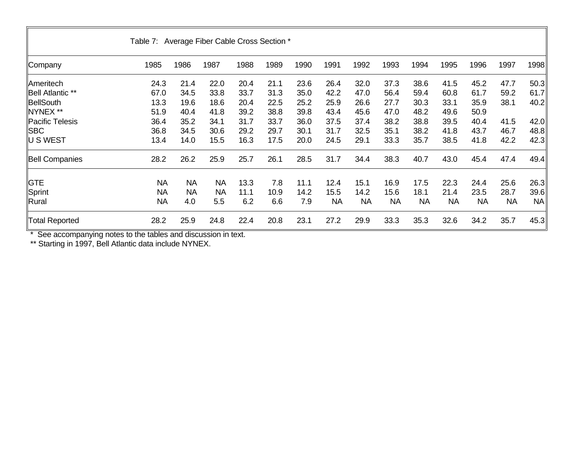|                       | Table 7: Average Fiber Cable Cross Section * |           |           |      |      |      |           |           |           |      |           |           |           |      |
|-----------------------|----------------------------------------------|-----------|-----------|------|------|------|-----------|-----------|-----------|------|-----------|-----------|-----------|------|
| Company               | 1985                                         | 1986      | 1987      | 1988 | 1989 | 1990 | 1991      | 1992      | 1993      | 1994 | 1995      | 1996      | 1997      | 1998 |
| Ameritech             | 24.3                                         | 21.4      | 22.0      | 20.4 | 21.1 | 23.6 | 26.4      | 32.0      | 37.3      | 38.6 | 41.5      | 45.2      | 47.7      | 50.3 |
| Bell Atlantic **      | 67.0                                         | 34.5      | 33.8      | 33.7 | 31.3 | 35.0 | 42.2      | 47.0      | 56.4      | 59.4 | 60.8      | 61.7      | 59.2      | 61.7 |
| BellSouth             | 13.3                                         | 19.6      | 18.6      | 20.4 | 22.5 | 25.2 | 25.9      | 26.6      | 27.7      | 30.3 | 33.1      | 35.9      | 38.1      | 40.2 |
| NYNEX **              | 51.9                                         | 40.4      | 41.8      | 39.2 | 38.8 | 39.8 | 43.4      | 45.6      | 47.0      | 48.2 | 49.6      | 50.9      |           |      |
| Pacific Telesis       | 36.4                                         | 35.2      | 34.1      | 31.7 | 33.7 | 36.0 | 37.5      | 37.4      | 38.2      | 38.8 | 39.5      | 40.4      | 41.5      | 42.0 |
| <b>SBC</b>            | 36.8                                         | 34.5      | 30.6      | 29.2 | 29.7 | 30.1 | 31.7      | 32.5      | 35.1      | 38.2 | 41.8      | 43.7      | 46.7      | 48.8 |
| ∥U S WEST             | 13.4                                         | 14.0      | 15.5      | 16.3 | 17.5 | 20.0 | 24.5      | 29.1      | 33.3      | 35.7 | 38.5      | 41.8      | 42.2      | 42.3 |
| <b>Bell Companies</b> | 28.2                                         | 26.2      | 25.9      | 25.7 | 26.1 | 28.5 | 31.7      | 34.4      | 38.3      | 40.7 | 43.0      | 45.4      | 47.4      | 49.4 |
| <b>IGTE</b>           | <b>NA</b>                                    | <b>NA</b> | <b>NA</b> | 13.3 | 7.8  | 11.1 | 12.4      | 15.1      | 16.9      | 17.5 | 22.3      | 24.4      | 25.6      | 26.3 |
| $\mathsf{\ Sprint}$   | <b>NA</b>                                    | <b>NA</b> | <b>NA</b> | 11.1 | 10.9 | 14.2 | 15.5      | 14.2      | 15.6      | 18.1 | 21.4      | 23.5      | 28.7      | 39.6 |
| Rural                 | <b>NA</b>                                    | 4.0       | 5.5       | 6.2  | 6.6  | 7.9  | <b>NA</b> | <b>NA</b> | <b>NA</b> | NA   | <b>NA</b> | <b>NA</b> | <b>NA</b> | NA   |
| <b>Total Reported</b> | 28.2                                         | 25.9      | 24.8      | 22.4 | 20.8 | 23.1 | 27.2      | 29.9      | 33.3      | 35.3 | 32.6      | 34.2      | 35.7      | 45.3 |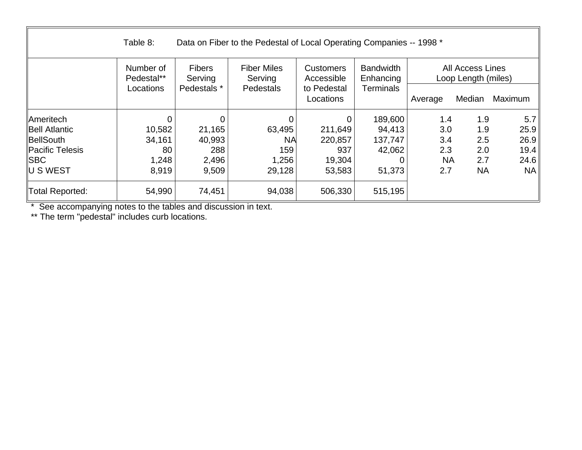|                        | Table 8:                |                          | Data on Fiber to the Pedestal of Local Operating Companies -- 1998 * |                                |                               |           |                                                |         |
|------------------------|-------------------------|--------------------------|----------------------------------------------------------------------|--------------------------------|-------------------------------|-----------|------------------------------------------------|---------|
|                        | Number of<br>Pedestal** | <b>Fibers</b><br>Serving | <b>Fiber Miles</b><br>Serving                                        | <b>Customers</b><br>Accessible | <b>Bandwidth</b><br>Enhancing |           | <b>All Access Lines</b><br>Loop Length (miles) |         |
|                        | Locations               | Pedestals *              | Pedestals                                                            | to Pedestal<br>Locations       | <b>Terminals</b>              | Average   | Median                                         | Maximum |
| <b>Ameritech</b>       | 0                       | $\Omega$                 | $\overline{0}$                                                       |                                | 189,600                       | 1.4       | 1.9                                            | 5.7     |
| <b>Bell Atlantic</b>   | 10,582                  | 21,165                   | 63,495                                                               | 211,649                        | 94,413                        | 3.0       | 1.9                                            | 25.9    |
| BellSouth              | 34,161                  | 40,993                   | <b>NA</b>                                                            | 220,857                        | 137,747                       | 3.4       | 2.5                                            | 26.9    |
| <b>Pacific Telesis</b> | 80                      | 288                      | 159                                                                  | 937                            | 42,062                        | 2.3       | 2.0                                            | 19.4    |
| <b>ISBC</b>            | 1,248                   | 2,496                    | 1,256                                                                | 19,304                         |                               | <b>NA</b> | 2.7                                            | 24.6    |
| ∥U S WEST              | 8,919                   | 9,509                    | 29,128                                                               | 53,583                         | 51,373                        | 2.7       | <b>NA</b>                                      | NA      |
| <b>Total Reported:</b> | 54,990                  | 74,451                   | 94,038                                                               | 506,330                        | 515,195                       |           |                                                |         |

\*\* The term "pedestal" includes curb locations.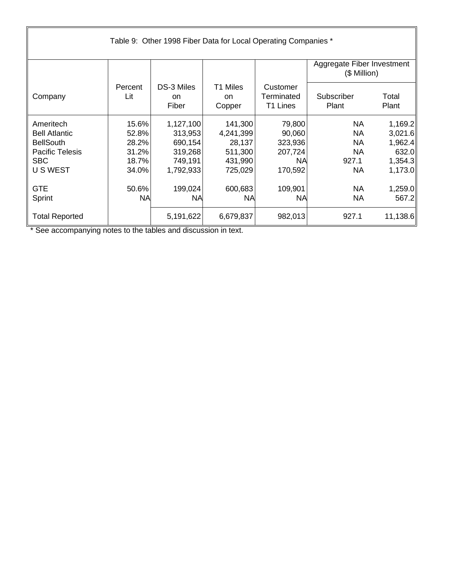|                        |                | Table 9: Other 1998 Fiber Data for Local Operating Companies * |                          |                                    |                                            |                |  |  |  |  |  |  |
|------------------------|----------------|----------------------------------------------------------------|--------------------------|------------------------------------|--------------------------------------------|----------------|--|--|--|--|--|--|
|                        |                |                                                                |                          |                                    | Aggregate Fiber Investment<br>(\$ Million) |                |  |  |  |  |  |  |
| Company                | Percent<br>Lit | DS-3 Miles<br><b>on</b><br>Fiber                               | T1 Miles<br>on<br>Copper | Customer<br>Terminated<br>T1 Lines | Subscriber<br>Plant                        | Total<br>Plant |  |  |  |  |  |  |
| Ameritech              | 15.6%          | 1,127,100                                                      | 141,300                  | 79,800                             | <b>NA</b>                                  | 1,169.2        |  |  |  |  |  |  |
| <b>Bell Atlantic</b>   | 52.8%          | 313,953                                                        | 4,241,399                | 90,060                             | <b>NA</b>                                  | 3,021.6        |  |  |  |  |  |  |
| <b>BellSouth</b>       | 28.2%          | 690,154                                                        | 28,137                   | 323,936                            | NA                                         | 1,962.4        |  |  |  |  |  |  |
| <b>Pacific Telesis</b> | 31.2%          | 319,268                                                        | 511,300                  | 207,724                            | <b>NA</b>                                  | 632.0          |  |  |  |  |  |  |
| <b>SBC</b>             | 18.7%          | 749,191                                                        | 431,990                  | <b>NA</b>                          | 927.1                                      | 1,354.3        |  |  |  |  |  |  |
| U S WEST               | 34.0%          | 1,792,933                                                      | 725,029                  | 170,592                            | <b>NA</b>                                  | 1,173.0        |  |  |  |  |  |  |
| <b>GTE</b>             | 50.6%          | 199,024                                                        | 600,683                  | 109,901                            | <b>NA</b>                                  | 1,259.0        |  |  |  |  |  |  |
| Sprint                 | <b>NA</b>      | <b>NA</b>                                                      | <b>NA</b>                | <b>NA</b>                          | <b>NA</b>                                  | 567.2          |  |  |  |  |  |  |
| <b>Total Reported</b>  |                | 5,191,622                                                      | 6,679,837                | 982,013                            | 927.1                                      | 11,138.6       |  |  |  |  |  |  |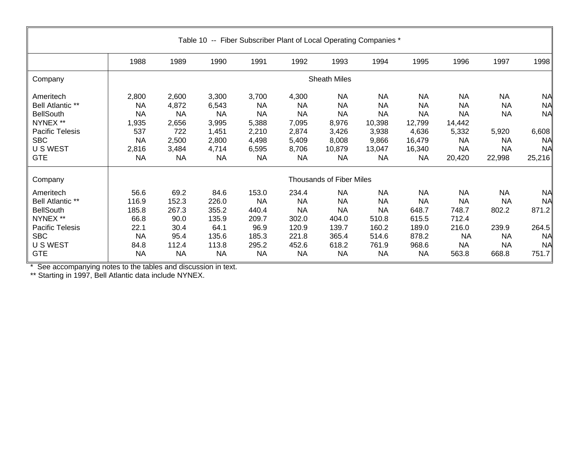| Table 10 -- Fiber Subscriber Plant of Local Operating Companies *                                                               |                                                                          |                                                                            |                                                                              |                                                                                  |                                                                                  |                                                                                       |                                                                                        |                                                                                         |                                                                                            |                                                                                  |                                                                                  |  |  |  |
|---------------------------------------------------------------------------------------------------------------------------------|--------------------------------------------------------------------------|----------------------------------------------------------------------------|------------------------------------------------------------------------------|----------------------------------------------------------------------------------|----------------------------------------------------------------------------------|---------------------------------------------------------------------------------------|----------------------------------------------------------------------------------------|-----------------------------------------------------------------------------------------|--------------------------------------------------------------------------------------------|----------------------------------------------------------------------------------|----------------------------------------------------------------------------------|--|--|--|
|                                                                                                                                 | 1988                                                                     | 1989                                                                       | 1990                                                                         | 1991                                                                             | 1992                                                                             | 1993                                                                                  | 1994                                                                                   | 1995                                                                                    | 1996                                                                                       | 1997                                                                             | 1998                                                                             |  |  |  |
| Company                                                                                                                         |                                                                          |                                                                            |                                                                              |                                                                                  |                                                                                  | <b>Sheath Miles</b>                                                                   |                                                                                        |                                                                                         |                                                                                            |                                                                                  |                                                                                  |  |  |  |
| Ameritech<br><b>Bell Atlantic **</b><br><b>BellSouth</b><br>NYNEX **<br>Pacific Telesis<br><b>SBC</b><br>U S WEST<br><b>GTE</b> | 2,800<br>NA<br>NA<br>1,935<br>537<br><b>NA</b><br>2,816<br><b>NA</b>     | 2,600<br>4,872<br><b>NA</b><br>2,656<br>722<br>2,500<br>3,484<br><b>NA</b> | 3,300<br>6,543<br><b>NA</b><br>3,995<br>1,451<br>2,800<br>4,714<br><b>NA</b> | 3,700<br><b>NA</b><br><b>NA</b><br>5,388<br>2,210<br>4,498<br>6,595<br><b>NA</b> | 4,300<br><b>NA</b><br><b>NA</b><br>7,095<br>2,874<br>5,409<br>8,706<br><b>NA</b> | <b>NA</b><br><b>NA</b><br><b>NA</b><br>8,976<br>3,426<br>8,008<br>10,879<br><b>NA</b> | <b>NA</b><br><b>NA</b><br><b>NA</b><br>10,398<br>3,938<br>9,866<br>13,047<br><b>NA</b> | <b>NA</b><br><b>NA</b><br><b>NA</b><br>12,799<br>4,636<br>16,479<br>16,340<br><b>NA</b> | <b>NA</b><br><b>NA</b><br><b>NA</b><br>14,442<br>5,332<br><b>NA</b><br><b>NA</b><br>20,420 | <b>NA</b><br><b>NA</b><br><b>NA</b><br>5,920<br><b>NA</b><br><b>NA</b><br>22,998 | <b>NA</b><br><b>NA</b><br><b>NA</b><br>6,608<br><b>NA</b><br><b>NA</b><br>25,216 |  |  |  |
| Company                                                                                                                         |                                                                          |                                                                            |                                                                              |                                                                                  |                                                                                  | Thousands of Fiber Miles                                                              |                                                                                        |                                                                                         |                                                                                            |                                                                                  |                                                                                  |  |  |  |
| Ameritech<br><b>Bell Atlantic **</b><br><b>BellSouth</b><br>NYNEX **<br>Pacific Telesis<br><b>SBC</b><br>U S WEST<br><b>GTE</b> | 56.6<br>116.9<br>185.8<br>66.8<br>22.1<br><b>NA</b><br>84.8<br><b>NA</b> | 69.2<br>152.3<br>267.3<br>90.0<br>30.4<br>95.4<br>112.4<br><b>NA</b>       | 84.6<br>226.0<br>355.2<br>135.9<br>64.1<br>135.6<br>113.8<br><b>NA</b>       | 153.0<br><b>NA</b><br>440.4<br>209.7<br>96.9<br>185.3<br>295.2<br><b>NA</b>      | 234.4<br><b>NA</b><br><b>NA</b><br>302.0<br>120.9<br>221.8<br>452.6<br><b>NA</b> | <b>NA</b><br><b>NA</b><br><b>NA</b><br>404.0<br>139.7<br>365.4<br>618.2<br><b>NA</b>  | <b>NA</b><br><b>NA</b><br><b>NA</b><br>510.8<br>160.2<br>514.6<br>761.9<br><b>NA</b>   | <b>NA</b><br><b>NA</b><br>648.7<br>615.5<br>189.0<br>878.2<br>968.6<br><b>NA</b>        | <b>NA</b><br><b>NA</b><br>748.7<br>712.4<br>216.0<br><b>NA</b><br>NA<br>563.8              | <b>NA</b><br><b>NA</b><br>802.2<br>239.9<br><b>NA</b><br><b>NA</b><br>668.8      | <b>NA</b><br><b>NA</b><br>871.2<br>264.5<br><b>NA</b><br><b>NA</b><br>751.7      |  |  |  |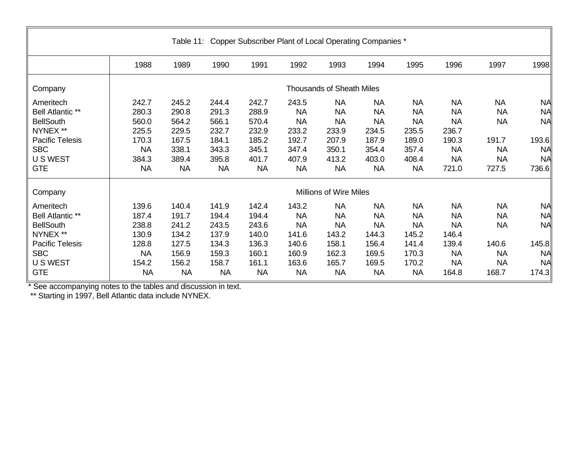| Table 11: Copper Subscriber Plant of Local Operating Companies * |                    |                |                |                |                    |                                  |                        |                        |                        |                        |                        |  |  |  |
|------------------------------------------------------------------|--------------------|----------------|----------------|----------------|--------------------|----------------------------------|------------------------|------------------------|------------------------|------------------------|------------------------|--|--|--|
|                                                                  | 1988               | 1989           | 1990           | 1991           | 1992               | 1993                             | 1994                   | 1995                   | 1996                   | 1997                   | 1998                   |  |  |  |
| Company                                                          |                    |                |                |                |                    | <b>Thousands of Sheath Miles</b> |                        |                        |                        |                        |                        |  |  |  |
| Ameritech<br>Bell Atlantic **                                    | 242.7<br>280.3     | 245.2<br>290.8 | 244.4<br>291.3 | 242.7<br>288.9 | 243.5<br><b>NA</b> | <b>NA</b><br><b>NA</b>           | <b>NA</b><br><b>NA</b> | <b>NA</b><br><b>NA</b> | <b>NA</b><br><b>NA</b> | <b>NA</b><br><b>NA</b> | <b>NA</b><br><b>NA</b> |  |  |  |
| <b>BellSouth</b><br>NYNEX **                                     | 560.0<br>225.5     | 564.2<br>229.5 | 566.1<br>232.7 | 570.4<br>232.9 | <b>NA</b><br>233.2 | <b>NA</b><br>233.9               | <b>NA</b><br>234.5     | <b>NA</b><br>235.5     | <b>NA</b><br>236.7     | <b>NA</b>              | <b>NA</b>              |  |  |  |
| <b>Pacific Telesis</b>                                           | 170.3              | 167.5          | 184.1          | 185.2          | 192.7              | 207.9                            | 187.9                  | 189.0                  | 190.3                  | 191.7                  | 193.6                  |  |  |  |
| <b>SBC</b><br>U S WEST                                           | <b>NA</b><br>384.3 | 338.1<br>389.4 | 343.3<br>395.8 | 345.1<br>401.7 | 347.4<br>407.9     | 350.1<br>413.2                   | 354.4<br>403.0         | 357.4<br>408.4         | <b>NA</b><br><b>NA</b> | <b>NA</b><br><b>NA</b> | <b>NA</b><br><b>NA</b> |  |  |  |
| <b>GTE</b>                                                       | <b>NA</b>          | <b>NA</b>      | <b>NA</b>      | <b>NA</b>      | <b>NA</b>          | <b>NA</b>                        | <b>NA</b>              | <b>NA</b>              | 721.0                  | 727.5                  | 736.6                  |  |  |  |
| Company                                                          |                    |                |                |                |                    | Millions of Wire Miles           |                        |                        |                        |                        |                        |  |  |  |
| Ameritech                                                        | 139.6              | 140.4          | 141.9          | 142.4          | 143.2              | <b>NA</b>                        | <b>NA</b>              | <b>NA</b>              | <b>NA</b>              | <b>NA</b>              | <b>NA</b>              |  |  |  |
| Bell Atlantic **                                                 | 187.4              | 191.7          | 194.4          | 194.4          | <b>NA</b>          | <b>NA</b>                        | <b>NA</b>              | <b>NA</b>              | <b>NA</b>              | <b>NA</b>              | <b>NA</b>              |  |  |  |
| <b>BellSouth</b>                                                 | 238.8              | 241.2          | 243.5          | 243.6          | <b>NA</b>          | <b>NA</b>                        | <b>NA</b>              | <b>NA</b>              | <b>NA</b>              | <b>NA</b>              | <b>NA</b>              |  |  |  |
| NYNEX **                                                         | 130.9              | 134.2          | 137.9          | 140.0          | 141.6              | 143.2                            | 144.3                  | 145.2                  | 146.4                  |                        |                        |  |  |  |
| <b>Pacific Telesis</b>                                           | 128.8              | 127.5          | 134.3          | 136.3          | 140.6              | 158.1                            | 156.4                  | 141.4                  | 139.4                  | 140.6                  | 145.8                  |  |  |  |
| <b>SBC</b>                                                       | <b>NA</b>          | 156.9          | 159.3          | 160.1          | 160.9              | 162.3                            | 169.5                  | 170.3                  | <b>NA</b>              | <b>NA</b>              | <b>NA</b>              |  |  |  |
| U S WEST                                                         | 154.2              | 156.2          | 158.7          | 161.1          | 163.6              | 165.7                            | 169.5                  | 170.2                  | <b>NA</b>              | <b>NA</b>              | <b>NA</b>              |  |  |  |
| <b>GTE</b>                                                       | <b>NA</b>          | <b>NA</b>      | <b>NA</b>      | <b>NA</b>      | <b>NA</b>          | <b>NA</b>                        | <b>NA</b>              | <b>NA</b>              | 164.8                  | 168.7                  | 174.3                  |  |  |  |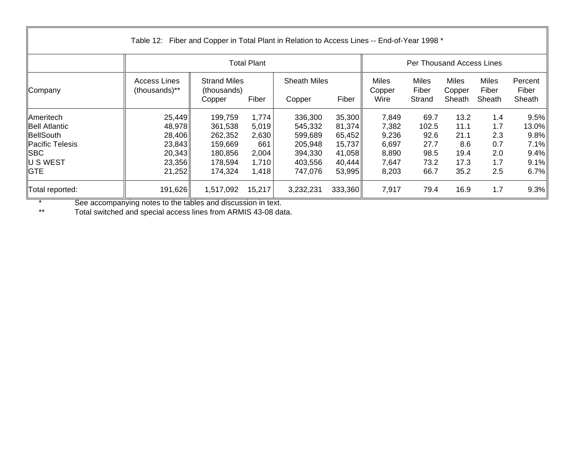|                      | Table 12: Fiber and Copper in Total Plant in Relation to Access Lines -- End-of-Year 1998 * |                                    |                    |                     |         |                 |                           |                        |                       |                  |
|----------------------|---------------------------------------------------------------------------------------------|------------------------------------|--------------------|---------------------|---------|-----------------|---------------------------|------------------------|-----------------------|------------------|
|                      |                                                                                             |                                    | <b>Total Plant</b> |                     |         |                 | Per Thousand Access Lines |                        |                       |                  |
| Company              | <b>Access Lines</b><br>(thousands)**                                                        | <b>Strand Miles</b><br>(thousands) |                    | <b>Sheath Miles</b> |         | Miles<br>Copper | <b>Miles</b><br>Fiber     | <b>Miles</b><br>Copper | <b>Miles</b><br>Fiber | Percent<br>Fiber |
|                      |                                                                                             | Copper                             | Fiber              | Copper              | Fiber   | Wire            | Strand                    | Sheath                 | Sheath                | Sheath           |
| <b>Ameritech</b>     | 25,449                                                                                      | 199,759                            | 1,774              | 336,300             | 35,300  | 7,849           | 69.7                      | 13.2                   | 1.4                   | 9.5%             |
| <b>Bell Atlantic</b> | 48,978                                                                                      | 361,538                            | 5,019              | 545,332             | 81,374  | 7,382           | 102.5                     | 11.1                   | 1.7                   | 13.0%            |
| BellSouth            | 28,406                                                                                      | 262,352                            | 2,630              | 599,689             | 65,452  | 9,236           | 92.6                      | 21.1                   | 2.3                   | 9.8%             |
| Pacific Telesis      | 23,843                                                                                      | 159,669                            | 661                | 205,948             | 15,737  | 6,697           | 27.7                      | 8.6                    | 0.7                   | 7.1%             |
| ∥SBC                 | 20,343                                                                                      | 180,856                            | 2,004              | 394,330             | 41,058  | 8,890           | 98.5                      | 19.4                   | 2.0                   | 9.4%             |
| U S WEST             | 23,356                                                                                      | 178,594                            | 1,710              | 403,556             | 40,444  | 7,647           | 73.2                      | 17.3                   | 1.7                   | 9.1%             |
| <b>GTE</b>           | 21,252                                                                                      | 174,324                            | 1,418              | 747,076             | 53,995  | 8,203           | 66.7                      | 35.2                   | 2.5                   | 6.7%             |
| Total reported:      | 191,626                                                                                     | 1,517,092                          | 15,217             | 3,232,231           | 333,360 | 7,917           | 79.4                      | 16.9                   | 1.7                   | 9.3%             |

\*\* Total switched and special access lines from ARMIS 43-08 data.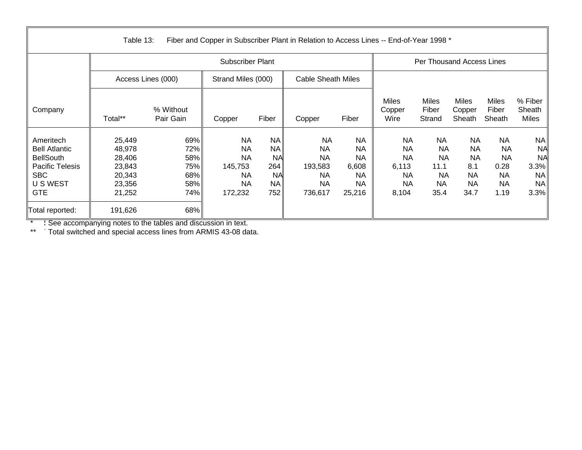|                                                                                                                         | Table 13:                                                          |                                               |                                                                               |                                                                             | Fiber and Copper in Subscriber Plant in Relation to Access Lines -- End-of-Year 1998 * |                                                                           |                                                                                 |                                                                        |                                                                       |                                                                        |                                                                               |
|-------------------------------------------------------------------------------------------------------------------------|--------------------------------------------------------------------|-----------------------------------------------|-------------------------------------------------------------------------------|-----------------------------------------------------------------------------|----------------------------------------------------------------------------------------|---------------------------------------------------------------------------|---------------------------------------------------------------------------------|------------------------------------------------------------------------|-----------------------------------------------------------------------|------------------------------------------------------------------------|-------------------------------------------------------------------------------|
|                                                                                                                         |                                                                    |                                               | <b>Subscriber Plant</b>                                                       |                                                                             |                                                                                        |                                                                           | Per Thousand Access Lines                                                       |                                                                        |                                                                       |                                                                        |                                                                               |
|                                                                                                                         |                                                                    | Access Lines (000)                            | Strand Miles (000)                                                            |                                                                             | <b>Cable Sheath Miles</b>                                                              |                                                                           |                                                                                 |                                                                        |                                                                       |                                                                        |                                                                               |
| Company                                                                                                                 | Total**                                                            | % Without<br>Pair Gain                        | Copper                                                                        | Fiber                                                                       | Copper                                                                                 | Fiber                                                                     | <b>Miles</b><br>Copper<br>Wire                                                  | <b>Miles</b><br>Fiber<br>Strand                                        | <b>Miles</b><br>Copper<br>Sheath                                      | <b>Miles</b><br>Fiber<br>Sheath                                        | % Fiber<br>Sheath<br>Miles                                                    |
| Ameritech<br><b>Bell Atlantic</b><br><b>BellSouth</b><br><b>Pacific Telesis</b><br><b>SBC</b><br>U S WEST<br><b>GTE</b> | 25,449<br>48,978<br>28,406<br>23,843<br>20,343<br>23,356<br>21,252 | 69%<br>72%<br>58%<br>75%<br>68%<br>58%<br>74% | <b>NA</b><br><b>NA</b><br><b>NA</b><br>145,753<br>NA.<br><b>NA</b><br>172,232 | <b>NA</b><br><b>NA</b><br><b>NA</b><br>264<br><b>NA</b><br><b>NA</b><br>752 | <b>NA</b><br><b>NA</b><br><b>NA</b><br>193,583<br><b>NA</b><br>NA<br>736,617           | <b>NA</b><br><b>NA</b><br><b>NA</b><br>6,608<br><b>NA</b><br>NA<br>25,216 | <b>NA</b><br><b>NA</b><br><b>NA</b><br>6,113<br><b>NA</b><br><b>NA</b><br>8,104 | <b>NA</b><br><b>NA</b><br><b>NA</b><br>11.1<br><b>NA</b><br>NA<br>35.4 | NA<br><b>NA</b><br><b>NA</b><br>8.1<br><b>NA</b><br><b>NA</b><br>34.7 | <b>NA</b><br><b>NA</b><br><b>NA</b><br>0.28<br><b>NA</b><br>NA<br>1.19 | <b>NA</b><br><b>NA</b><br><b>NA</b><br>3.3%<br><b>NA</b><br><b>NA</b><br>3.3% |
| Total reported:                                                                                                         | 191,626                                                            | 68%                                           |                                                                               |                                                                             |                                                                                        |                                                                           |                                                                                 |                                                                        |                                                                       |                                                                        |                                                                               |

\*\* Total switched and special access lines from ARMIS 43-08 data.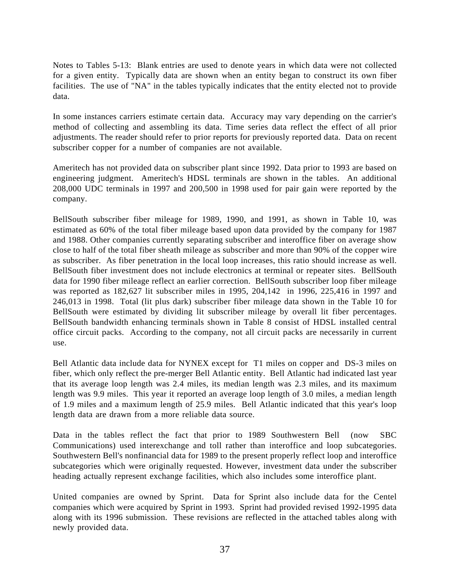Notes to Tables 5-13: Blank entries are used to denote years in which data were not collected for a given entity. Typically data are shown when an entity began to construct its own fiber facilities. The use of "NA" in the tables typically indicates that the entity elected not to provide data.

In some instances carriers estimate certain data. Accuracy may vary depending on the carrier's method of collecting and assembling its data. Time series data reflect the effect of all prior adjustments. The reader should refer to prior reports for previously reported data. Data on recent subscriber copper for a number of companies are not available.

Ameritech has not provided data on subscriber plant since 1992. Data prior to 1993 are based on engineering judgment. Ameritech's HDSL terminals are shown in the tables. An additional 208,000 UDC terminals in 1997 and 200,500 in 1998 used for pair gain were reported by the company.

BellSouth subscriber fiber mileage for 1989, 1990, and 1991, as shown in Table 10, was estimated as 60% of the total fiber mileage based upon data provided by the company for 1987 and 1988. Other companies currently separating subscriber and interoffice fiber on average show close to half of the total fiber sheath mileage as subscriber and more than 90% of the copper wire as subscriber. As fiber penetration in the local loop increases, this ratio should increase as well. BellSouth fiber investment does not include electronics at terminal or repeater sites. BellSouth data for 1990 fiber mileage reflect an earlier correction. BellSouth subscriber loop fiber mileage was reported as 182,627 lit subscriber miles in 1995, 204,142 in 1996, 225,416 in 1997 and 246,013 in 1998. Total (lit plus dark) subscriber fiber mileage data shown in the Table 10 for BellSouth were estimated by dividing lit subscriber mileage by overall lit fiber percentages. BellSouth bandwidth enhancing terminals shown in Table 8 consist of HDSL installed central office circuit packs. According to the company, not all circuit packs are necessarily in current use.

Bell Atlantic data include data for NYNEX except for T1 miles on copper and DS-3 miles on fiber, which only reflect the pre-merger Bell Atlantic entity. Bell Atlantic had indicated last year that its average loop length was 2.4 miles, its median length was 2.3 miles, and its maximum length was 9.9 miles. This year it reported an average loop length of 3.0 miles, a median length of 1.9 miles and a maximum length of 25.9 miles. Bell Atlantic indicated that this year's loop length data are drawn from a more reliable data source.

Data in the tables reflect the fact that prior to 1989 Southwestern Bell (now SBC Communications) used interexchange and toll rather than interoffice and loop subcategories. Southwestern Bell's nonfinancial data for 1989 to the present properly reflect loop and interoffice subcategories which were originally requested. However, investment data under the subscriber heading actually represent exchange facilities, which also includes some interoffice plant.

United companies are owned by Sprint. Data for Sprint also include data for the Centel companies which were acquired by Sprint in 1993. Sprint had provided revised 1992-1995 data along with its 1996 submission. These revisions are reflected in the attached tables along with newly provided data.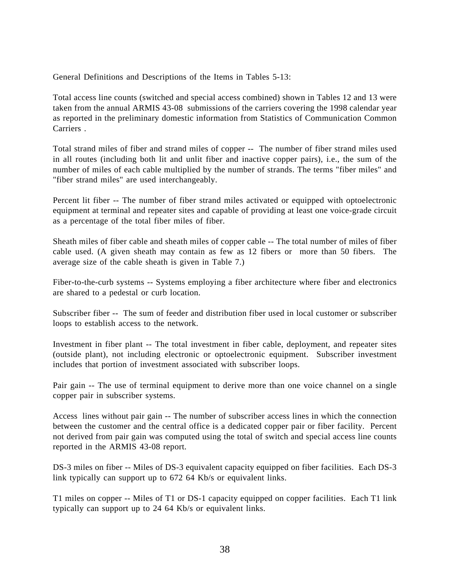General Definitions and Descriptions of the Items in Tables 5-13:

Total access line counts (switched and special access combined) shown in Tables 12 and 13 were taken from the annual ARMIS 43-08 submissions of the carriers covering the 1998 calendar year as reported in the preliminary domestic information from Statistics of Communication Common Carriers .

Total strand miles of fiber and strand miles of copper -- The number of fiber strand miles used in all routes (including both lit and unlit fiber and inactive copper pairs), i.e., the sum of the number of miles of each cable multiplied by the number of strands. The terms "fiber miles" and "fiber strand miles" are used interchangeably.

Percent lit fiber -- The number of fiber strand miles activated or equipped with optoelectronic equipment at terminal and repeater sites and capable of providing at least one voice-grade circuit as a percentage of the total fiber miles of fiber.

Sheath miles of fiber cable and sheath miles of copper cable -- The total number of miles of fiber cable used. (A given sheath may contain as few as 12 fibers or more than 50 fibers. The average size of the cable sheath is given in Table 7.)

Fiber-to-the-curb systems -- Systems employing a fiber architecture where fiber and electronics are shared to a pedestal or curb location.

Subscriber fiber -- The sum of feeder and distribution fiber used in local customer or subscriber loops to establish access to the network.

Investment in fiber plant -- The total investment in fiber cable, deployment, and repeater sites (outside plant), not including electronic or optoelectronic equipment. Subscriber investment includes that portion of investment associated with subscriber loops.

Pair gain -- The use of terminal equipment to derive more than one voice channel on a single copper pair in subscriber systems.

Access lines without pair gain -- The number of subscriber access lines in which the connection between the customer and the central office is a dedicated copper pair or fiber facility. Percent not derived from pair gain was computed using the total of switch and special access line counts reported in the ARMIS 43-08 report.

DS-3 miles on fiber -- Miles of DS-3 equivalent capacity equipped on fiber facilities. Each DS-3 link typically can support up to 672 64 Kb/s or equivalent links.

T1 miles on copper -- Miles of T1 or DS-1 capacity equipped on copper facilities. Each T1 link typically can support up to 24 64 Kb/s or equivalent links.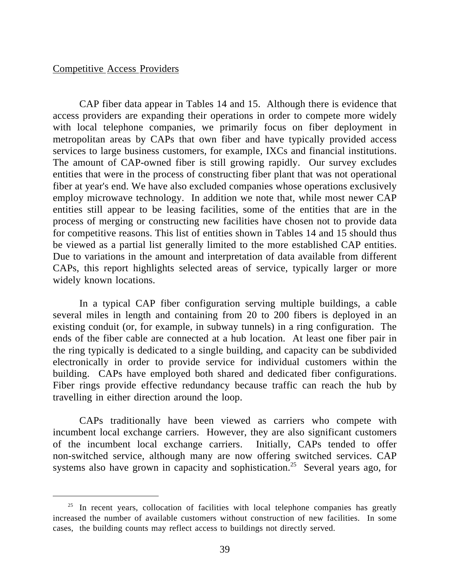# Competitive Access Providers

 $\overline{a}$ 

CAP fiber data appear in Tables 14 and 15. Although there is evidence that access providers are expanding their operations in order to compete more widely with local telephone companies, we primarily focus on fiber deployment in metropolitan areas by CAPs that own fiber and have typically provided access services to large business customers, for example, IXCs and financial institutions. The amount of CAP-owned fiber is still growing rapidly. Our survey excludes entities that were in the process of constructing fiber plant that was not operational fiber at year's end. We have also excluded companies whose operations exclusively employ microwave technology. In addition we note that, while most newer CAP entities still appear to be leasing facilities, some of the entities that are in the process of merging or constructing new facilities have chosen not to provide data for competitive reasons. This list of entities shown in Tables 14 and 15 should thus be viewed as a partial list generally limited to the more established CAP entities. Due to variations in the amount and interpretation of data available from different CAPs, this report highlights selected areas of service, typically larger or more widely known locations.

In a typical CAP fiber configuration serving multiple buildings, a cable several miles in length and containing from 20 to 200 fibers is deployed in an existing conduit (or, for example, in subway tunnels) in a ring configuration. The ends of the fiber cable are connected at a hub location. At least one fiber pair in the ring typically is dedicated to a single building, and capacity can be subdivided electronically in order to provide service for individual customers within the building. CAPs have employed both shared and dedicated fiber configurations. Fiber rings provide effective redundancy because traffic can reach the hub by travelling in either direction around the loop.

CAPs traditionally have been viewed as carriers who compete with incumbent local exchange carriers. However, they are also significant customers of the incumbent local exchange carriers. Initially, CAPs tended to offer non-switched service, although many are now offering switched services. CAP systems also have grown in capacity and sophistication.<sup>25</sup> Several years ago, for

 $25$  In recent years, collocation of facilities with local telephone companies has greatly increased the number of available customers without construction of new facilities. In some cases, the building counts may reflect access to buildings not directly served.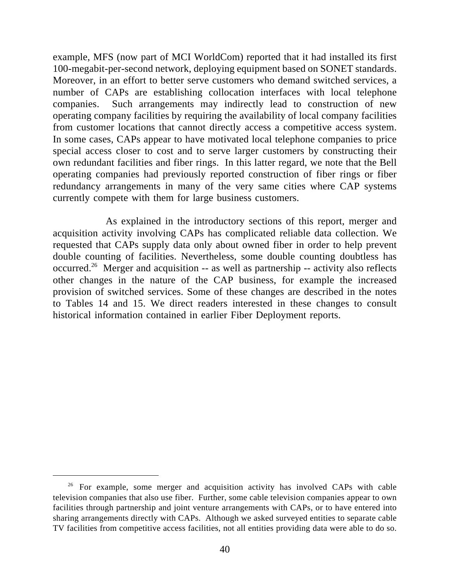example, MFS (now part of MCI WorldCom) reported that it had installed its first 100-megabit-per-second network, deploying equipment based on SONET standards. Moreover, in an effort to better serve customers who demand switched services, a number of CAPs are establishing collocation interfaces with local telephone companies. Such arrangements may indirectly lead to construction of new operating company facilities by requiring the availability of local company facilities from customer locations that cannot directly access a competitive access system. In some cases, CAPs appear to have motivated local telephone companies to price special access closer to cost and to serve larger customers by constructing their own redundant facilities and fiber rings. In this latter regard, we note that the Bell operating companies had previously reported construction of fiber rings or fiber redundancy arrangements in many of the very same cities where CAP systems currently compete with them for large business customers.

As explained in the introductory sections of this report, merger and acquisition activity involving CAPs has complicated reliable data collection. We requested that CAPs supply data only about owned fiber in order to help prevent double counting of facilities. Nevertheless, some double counting doubtless has occurred.<sup>26</sup> Merger and acquisition -- as well as partnership -- activity also reflects other changes in the nature of the CAP business, for example the increased provision of switched services. Some of these changes are described in the notes to Tables 14 and 15. We direct readers interested in these changes to consult historical information contained in earlier Fiber Deployment reports.

<sup>&</sup>lt;sup>26</sup> For example, some merger and acquisition activity has involved CAPs with cable television companies that also use fiber. Further, some cable television companies appear to own facilities through partnership and joint venture arrangements with CAPs, or to have entered into sharing arrangements directly with CAPs. Although we asked surveyed entities to separate cable TV facilities from competitive access facilities, not all entities providing data were able to do so.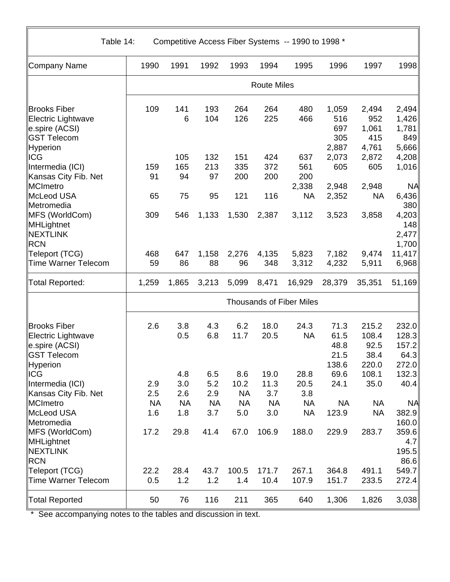Table 14: Competitive Access Fiber Systems -- 1990 to 1998 \*

| Company Name               | 1990                            | 1991               | 1992       | 1993       | 1994       | 1995       | 1996           | 1997         | 1998           |  |
|----------------------------|---------------------------------|--------------------|------------|------------|------------|------------|----------------|--------------|----------------|--|
|                            |                                 | <b>Route Miles</b> |            |            |            |            |                |              |                |  |
| <b>Brooks Fiber</b>        | 109                             | 141                | 193        | 264        | 264        | 480        | 1,059          | 2,494        | 2,494          |  |
| Electric Lightwave         |                                 | 6                  | 104        | 126        | 225        | 466        | 516            | 952          | 1,426          |  |
| e.spire (ACSI)             |                                 |                    |            |            |            |            | 697            | 1,061        | 1,781          |  |
| <b>GST Telecom</b>         |                                 |                    |            |            |            |            | 305            | 415          | 849            |  |
| Hyperion                   |                                 |                    |            |            |            |            | 2,887<br>2,073 | 4,761        | 5,666          |  |
| ICG<br>Intermedia (ICI)    | 159                             | 105<br>165         | 132<br>213 | 151<br>335 | 424<br>372 | 637<br>561 | 605            | 2,872<br>605 | 4,208<br>1,016 |  |
| Kansas City Fib. Net       | 91                              | 94                 | 97         | 200        | 200        | 200        |                |              |                |  |
| MCImetro                   |                                 |                    |            |            |            | 2,338      | 2,948          | 2,948        | <b>NA</b>      |  |
| McLeod USA                 | 65                              | 75                 | 95         | 121        | 116        | <b>NA</b>  | 2,352          | <b>NA</b>    | 6,436          |  |
| Metromedia                 |                                 |                    |            |            |            |            |                |              | 380            |  |
| MFS (WorldCom)             | 309                             | 546                | 1,133      | 1,530      | 2,387      | 3,112      | 3,523          | 3,858        | 4,203          |  |
| MHLightnet                 |                                 |                    |            |            |            |            |                |              | 148            |  |
| <b>NEXTLINK</b>            |                                 |                    |            |            |            |            |                |              | 2,477          |  |
| <b>RCN</b>                 |                                 |                    |            |            |            |            |                |              | 1,700          |  |
| Teleport (TCG)             | 468                             | 647                | 1,158      | 2,276      | 4,135      | 5,823      | 7,182          | 9,474        | 11,417         |  |
| <b>Time Warner Telecom</b> | 59                              | 86                 | 88         | 96         | 348        | 3,312      | 4,232          | 5,911        | 6,968          |  |
| <b>Total Reported:</b>     | 1,259                           | 1,865              | 3,213      | 5,099      | 8,471      | 16,929     | 28,379         | 35,351       | 51,169         |  |
|                            | <b>Thousands of Fiber Miles</b> |                    |            |            |            |            |                |              |                |  |
| <b>Brooks Fiber</b>        | 2.6                             | 3.8                | 4.3        | 6.2        | 18.0       | 24.3       | 71.3           | 215.2        | 232.0          |  |
| Electric Lightwave         |                                 | 0.5                | 6.8        | 11.7       | 20.5       | <b>NA</b>  | 61.5           | 108.4        | 128.3          |  |
| e.spire (ACSI)             |                                 |                    |            |            |            |            | 48.8           | 92.5         | 157.2          |  |
| <b>GST Telecom</b>         |                                 |                    |            |            |            |            | 21.5           | 38.4         | 64.3           |  |
| Hyperion                   |                                 |                    |            |            |            |            | 138.6          | 220.0        | 272.0          |  |
| <b>ICG</b>                 |                                 | 4.8                | 6.5        | 8.6        | 19.0       | 28.8       | 69.6           | 108.1        | 132.3          |  |
| Intermedia (ICI)           | 2.9                             | 3.0                | 5.2        | 10.2       | 11.3       | 20.5       | 24.1           | 35.0         | 40.4           |  |
| Kansas City Fib. Net       | 2.5                             | 2.6                | 2.9        | <b>NA</b>  | 3.7        | 3.8        |                |              |                |  |
| MCImetro                   | <b>NA</b>                       | <b>NA</b>          | <b>NA</b>  | <b>NA</b>  | <b>NA</b>  | <b>NA</b>  | <b>NA</b>      | <b>NA</b>    | <b>NA</b>      |  |
| McLeod USA                 | 1.6                             | 1.8                | 3.7        | 5.0        | 3.0        | <b>NA</b>  | 123.9          | <b>NA</b>    | 382.9          |  |
| Metromedia                 |                                 |                    |            |            |            |            |                |              | 160.0          |  |
| MFS (WorldCom)             | 17.2                            | 29.8               | 41.4       | 67.0       | 106.9      | 188.0      | 229.9          | 283.7        | 359.6          |  |
| MHLightnet                 |                                 |                    |            |            |            |            |                |              | 4.7            |  |
| NEXTLINK<br><b>RCN</b>     |                                 |                    |            |            |            |            |                |              | 195.5<br>86.6  |  |
| Teleport (TCG)             | 22.2                            | 28.4               | 43.7       | 100.5      | 171.7      | 267.1      | 364.8          | 491.1        | 549.7          |  |
| <b>Time Warner Telecom</b> | 0.5                             | 1.2                | 1.2        | 1.4        | 10.4       | 107.9      | 151.7          | 233.5        | 272.4          |  |
| <b>Total Reported</b>      | 50                              | 76                 | 116        | 211        | 365        | 640        | 1,306          | 1,826        | 3,038          |  |
|                            |                                 |                    |            |            |            |            |                |              |                |  |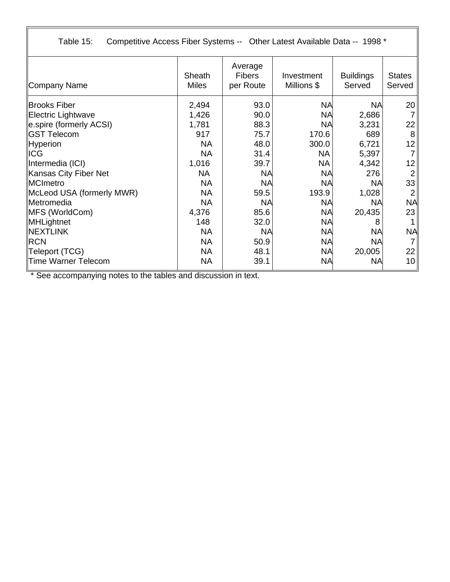Table 15: Competitive Access Fiber Systems -- Other Latest Available Data -- 1998 \*

| Company Name              | Sheath<br><b>Miles</b> | Average<br><b>Fibers</b><br>per Route | Investment<br>Millions \$ | <b>Buildings</b><br>Served | <b>States</b><br>Served |
|---------------------------|------------------------|---------------------------------------|---------------------------|----------------------------|-------------------------|
| <b>Brooks Fiber</b>       | 2,494                  | 93.0                                  | <b>NA</b>                 | <b>NA</b>                  | 20                      |
| Electric Lightwave        | 1,426                  | 90.0                                  | <b>NA</b>                 | 2,686                      |                         |
| e.spire (formerly ACSI)   | 1,781                  | 88.3                                  | <b>NA</b>                 | 3,231                      | 22                      |
| <b>GST Telecom</b>        | 917                    | 75.7                                  | 170.6                     | 689                        | 8                       |
| Hyperion                  | <b>NA</b>              | 48.0                                  | 300.0                     | 6,721                      | 12                      |
| <b>ICG</b>                | <b>NA</b>              | 31.4                                  | <b>NA</b>                 | 5,397                      | 7                       |
| Intermedia (ICI)          | 1,016                  | 39.7                                  | <b>NA</b>                 | 4,342                      | 12                      |
| Kansas City Fiber Net     | <b>NA</b>              | <b>NA</b>                             | <b>NA</b>                 | 276                        | 2                       |
| <b>MCImetro</b>           | <b>NA</b>              | <b>NA</b>                             | <b>NA</b>                 | <b>NA</b>                  | 33                      |
| McLeod USA (formerly MWR) | <b>NA</b>              | 59.5                                  | 193.9                     | 1,028                      | $\overline{2}$          |
| <b>IMetromedia</b>        | <b>NA</b>              | <b>NA</b>                             | <b>NA</b>                 | <b>NA</b>                  | <b>NA</b>               |
| MFS (WorldCom)            | 4,376                  | 85.6                                  | <b>NA</b>                 | 20,435                     | 23                      |
| MHLightnet                | 148                    | 32.0                                  | <b>NA</b>                 | 8                          |                         |
| <b>NEXTLINK</b>           | <b>NA</b>              | <b>NA</b>                             | <b>NA</b>                 | <b>NA</b>                  | <b>NA</b>               |
| <b>RCN</b>                | <b>NA</b>              | 50.9                                  | <b>NA</b>                 | <b>NA</b>                  |                         |
| Teleport (TCG)            | <b>NA</b>              | 48.1                                  | <b>NA</b>                 | 20,005                     | 22                      |
| Time Warner Telecom       | <b>NA</b>              | 39.1                                  | <b>NA</b>                 | <b>NA</b>                  | 10 <sup>1</sup>         |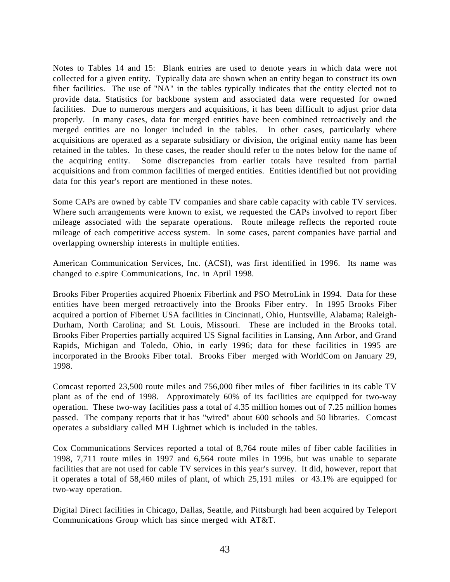Notes to Tables 14 and 15: Blank entries are used to denote years in which data were not collected for a given entity. Typically data are shown when an entity began to construct its own fiber facilities. The use of "NA" in the tables typically indicates that the entity elected not to provide data. Statistics for backbone system and associated data were requested for owned facilities. Due to numerous mergers and acquisitions, it has been difficult to adjust prior data properly. In many cases, data for merged entities have been combined retroactively and the merged entities are no longer included in the tables. In other cases, particularly where acquisitions are operated as a separate subsidiary or division, the original entity name has been retained in the tables. In these cases, the reader should refer to the notes below for the name of the acquiring entity. Some discrepancies from earlier totals have resulted from partial acquisitions and from common facilities of merged entities. Entities identified but not providing data for this year's report are mentioned in these notes.

Some CAPs are owned by cable TV companies and share cable capacity with cable TV services. Where such arrangements were known to exist, we requested the CAPs involved to report fiber mileage associated with the separate operations. Route mileage reflects the reported route mileage of each competitive access system. In some cases, parent companies have partial and overlapping ownership interests in multiple entities.

American Communication Services, Inc. (ACSI), was first identified in 1996. Its name was changed to e.spire Communications, Inc. in April 1998.

Brooks Fiber Properties acquired Phoenix Fiberlink and PSO MetroLink in 1994. Data for these entities have been merged retroactively into the Brooks Fiber entry. In 1995 Brooks Fiber acquired a portion of Fibernet USA facilities in Cincinnati, Ohio, Huntsville, Alabama; Raleigh-Durham, North Carolina; and St. Louis, Missouri. These are included in the Brooks total. Brooks Fiber Properties partially acquired US Signal facilities in Lansing, Ann Arbor, and Grand Rapids, Michigan and Toledo, Ohio, in early 1996; data for these facilities in 1995 are incorporated in the Brooks Fiber total. Brooks Fiber merged with WorldCom on January 29, 1998.

Comcast reported 23,500 route miles and 756,000 fiber miles of fiber facilities in its cable TV plant as of the end of 1998. Approximately 60% of its facilities are equipped for two-way operation. These two-way facilities pass a total of 4.35 million homes out of 7.25 million homes passed. The company reports that it has "wired" about 600 schools and 50 libraries. Comcast operates a subsidiary called MH Lightnet which is included in the tables.

Cox Communications Services reported a total of 8,764 route miles of fiber cable facilities in 1998, 7,711 route miles in 1997 and 6,564 route miles in 1996, but was unable to separate facilities that are not used for cable TV services in this year's survey. It did, however, report that it operates a total of 58,460 miles of plant, of which 25,191 miles or 43.1% are equipped for two-way operation.

Digital Direct facilities in Chicago, Dallas, Seattle, and Pittsburgh had been acquired by Teleport Communications Group which has since merged with AT&T.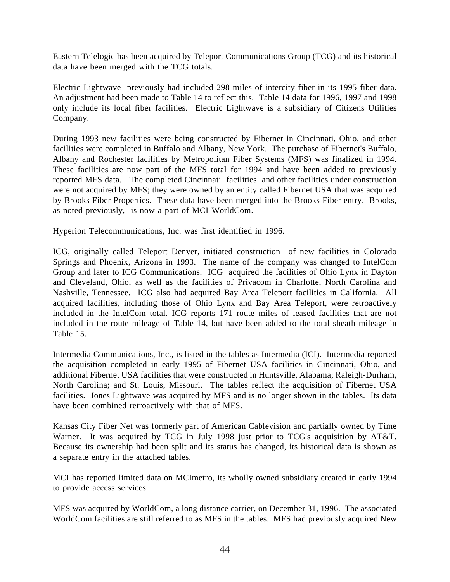Eastern Telelogic has been acquired by Teleport Communications Group (TCG) and its historical data have been merged with the TCG totals.

Electric Lightwave previously had included 298 miles of intercity fiber in its 1995 fiber data. An adjustment had been made to Table 14 to reflect this. Table 14 data for 1996, 1997 and 1998 only include its local fiber facilities. Electric Lightwave is a subsidiary of Citizens Utilities Company.

During 1993 new facilities were being constructed by Fibernet in Cincinnati, Ohio, and other facilities were completed in Buffalo and Albany, New York. The purchase of Fibernet's Buffalo, Albany and Rochester facilities by Metropolitan Fiber Systems (MFS) was finalized in 1994. These facilities are now part of the MFS total for 1994 and have been added to previously reported MFS data. The completed Cincinnati facilities and other facilities under construction were not acquired by MFS; they were owned by an entity called Fibernet USA that was acquired by Brooks Fiber Properties. These data have been merged into the Brooks Fiber entry. Brooks, as noted previously, is now a part of MCI WorldCom.

Hyperion Telecommunications, Inc. was first identified in 1996.

ICG, originally called Teleport Denver, initiated construction of new facilities in Colorado Springs and Phoenix, Arizona in 1993. The name of the company was changed to IntelCom Group and later to ICG Communications. ICG acquired the facilities of Ohio Lynx in Dayton and Cleveland, Ohio, as well as the facilities of Privacom in Charlotte, North Carolina and Nashville, Tennessee. ICG also had acquired Bay Area Teleport facilities in California. All acquired facilities, including those of Ohio Lynx and Bay Area Teleport, were retroactively included in the IntelCom total. ICG reports 171 route miles of leased facilities that are not included in the route mileage of Table 14, but have been added to the total sheath mileage in Table 15.

Intermedia Communications, Inc., is listed in the tables as Intermedia (ICI). Intermedia reported the acquisition completed in early 1995 of Fibernet USA facilities in Cincinnati, Ohio, and additional Fibernet USA facilities that were constructed in Huntsville, Alabama; Raleigh-Durham, North Carolina; and St. Louis, Missouri. The tables reflect the acquisition of Fibernet USA facilities. Jones Lightwave was acquired by MFS and is no longer shown in the tables. Its data have been combined retroactively with that of MFS.

Kansas City Fiber Net was formerly part of American Cablevision and partially owned by Time Warner. It was acquired by TCG in July 1998 just prior to TCG's acquisition by AT&T. Because its ownership had been split and its status has changed, its historical data is shown as a separate entry in the attached tables.

MCI has reported limited data on MCImetro, its wholly owned subsidiary created in early 1994 to provide access services.

MFS was acquired by WorldCom, a long distance carrier, on December 31, 1996. The associated WorldCom facilities are still referred to as MFS in the tables. MFS had previously acquired New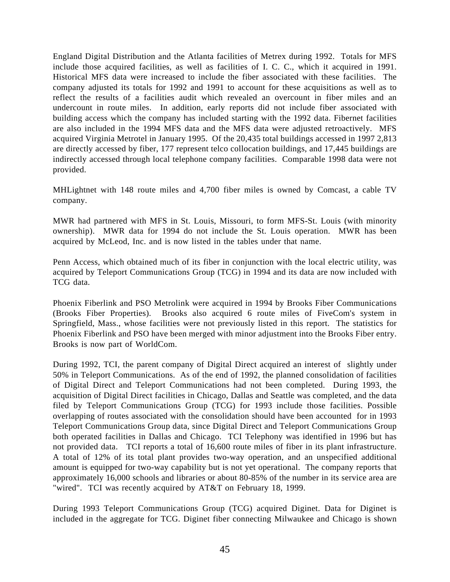England Digital Distribution and the Atlanta facilities of Metrex during 1992. Totals for MFS include those acquired facilities, as well as facilities of I. C. C., which it acquired in 1991. Historical MFS data were increased to include the fiber associated with these facilities. The company adjusted its totals for 1992 and 1991 to account for these acquisitions as well as to reflect the results of a facilities audit which revealed an overcount in fiber miles and an undercount in route miles. In addition, early reports did not include fiber associated with building access which the company has included starting with the 1992 data. Fibernet facilities are also included in the 1994 MFS data and the MFS data were adjusted retroactively. MFS acquired Virginia Metrotel in January 1995. Of the 20,435 total buildings accessed in 1997 2,813 are directly accessed by fiber, 177 represent telco collocation buildings, and 17,445 buildings are indirectly accessed through local telephone company facilities. Comparable 1998 data were not provided.

MHLightnet with 148 route miles and 4,700 fiber miles is owned by Comcast, a cable TV company.

MWR had partnered with MFS in St. Louis, Missouri, to form MFS-St. Louis (with minority ownership). MWR data for 1994 do not include the St. Louis operation. MWR has been acquired by McLeod, Inc. and is now listed in the tables under that name.

Penn Access, which obtained much of its fiber in conjunction with the local electric utility, was acquired by Teleport Communications Group (TCG) in 1994 and its data are now included with TCG data.

Phoenix Fiberlink and PSO Metrolink were acquired in 1994 by Brooks Fiber Communications (Brooks Fiber Properties). Brooks also acquired 6 route miles of FiveCom's system in Springfield, Mass., whose facilities were not previously listed in this report. The statistics for Phoenix Fiberlink and PSO have been merged with minor adjustment into the Brooks Fiber entry. Brooks is now part of WorldCom.

During 1992, TCI, the parent company of Digital Direct acquired an interest of slightly under 50% in Teleport Communications. As of the end of 1992, the planned consolidation of facilities of Digital Direct and Teleport Communications had not been completed. During 1993, the acquisition of Digital Direct facilities in Chicago, Dallas and Seattle was completed, and the data filed by Teleport Communications Group (TCG) for 1993 include those facilities. Possible overlapping of routes associated with the consolidation should have been accounted for in 1993 Teleport Communications Group data, since Digital Direct and Teleport Communications Group both operated facilities in Dallas and Chicago. TCI Telephony was identified in 1996 but has not provided data. TCI reports a total of 16,600 route miles of fiber in its plant infrastructure. A total of 12% of its total plant provides two-way operation, and an unspecified additional amount is equipped for two-way capability but is not yet operational. The company reports that approximately 16,000 schools and libraries or about 80-85% of the number in its service area are "wired". TCI was recently acquired by AT&T on February 18, 1999.

During 1993 Teleport Communications Group (TCG) acquired Diginet. Data for Diginet is included in the aggregate for TCG. Diginet fiber connecting Milwaukee and Chicago is shown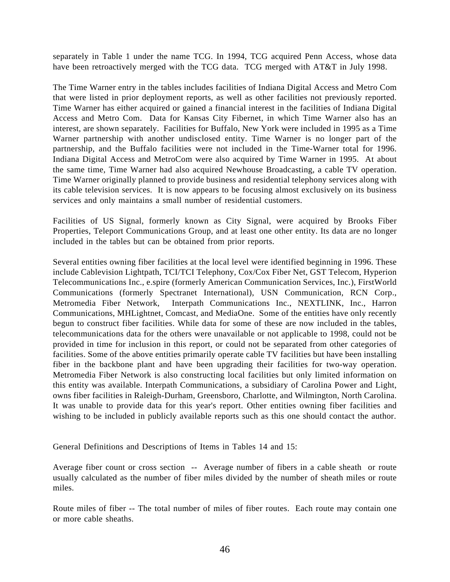separately in Table 1 under the name TCG. In 1994, TCG acquired Penn Access, whose data have been retroactively merged with the TCG data. TCG merged with AT&T in July 1998.

The Time Warner entry in the tables includes facilities of Indiana Digital Access and Metro Com that were listed in prior deployment reports, as well as other facilities not previously reported. Time Warner has either acquired or gained a financial interest in the facilities of Indiana Digital Access and Metro Com. Data for Kansas City Fibernet, in which Time Warner also has an interest, are shown separately. Facilities for Buffalo, New York were included in 1995 as a Time Warner partnership with another undisclosed entity. Time Warner is no longer part of the partnership, and the Buffalo facilities were not included in the Time-Warner total for 1996. Indiana Digital Access and MetroCom were also acquired by Time Warner in 1995. At about the same time, Time Warner had also acquired Newhouse Broadcasting, a cable TV operation. Time Warner originally planned to provide business and residential telephony services along with its cable television services. It is now appears to be focusing almost exclusively on its business services and only maintains a small number of residential customers.

Facilities of US Signal, formerly known as City Signal, were acquired by Brooks Fiber Properties, Teleport Communications Group, and at least one other entity. Its data are no longer included in the tables but can be obtained from prior reports.

Several entities owning fiber facilities at the local level were identified beginning in 1996. These include Cablevision Lightpath, TCI/TCI Telephony, Cox/Cox Fiber Net, GST Telecom, Hyperion Telecommunications Inc., e.spire (formerly American Communication Services, Inc.), FirstWorld Communications (formerly Spectranet International), USN Communication, RCN Corp., Metromedia Fiber Network, Interpath Communications Inc., NEXTLINK, Inc., Harron Communications, MHLightnet, Comcast, and MediaOne. Some of the entities have only recently begun to construct fiber facilities. While data for some of these are now included in the tables, telecommunications data for the others were unavailable or not applicable to 1998, could not be provided in time for inclusion in this report, or could not be separated from other categories of facilities. Some of the above entities primarily operate cable TV facilities but have been installing fiber in the backbone plant and have been upgrading their facilities for two-way operation. Metromedia Fiber Network is also constructing local facilities but only limited information on this entity was available. Interpath Communications, a subsidiary of Carolina Power and Light, owns fiber facilities in Raleigh-Durham, Greensboro, Charlotte, and Wilmington, North Carolina. It was unable to provide data for this year's report. Other entities owning fiber facilities and wishing to be included in publicly available reports such as this one should contact the author.

General Definitions and Descriptions of Items in Tables 14 and 15:

Average fiber count or cross section -- Average number of fibers in a cable sheath or route usually calculated as the number of fiber miles divided by the number of sheath miles or route miles.

Route miles of fiber -- The total number of miles of fiber routes. Each route may contain one or more cable sheaths.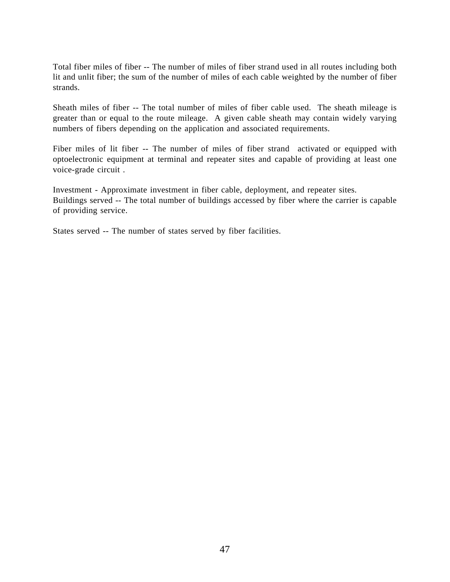Total fiber miles of fiber -- The number of miles of fiber strand used in all routes including both lit and unlit fiber; the sum of the number of miles of each cable weighted by the number of fiber strands.

Sheath miles of fiber -- The total number of miles of fiber cable used. The sheath mileage is greater than or equal to the route mileage. A given cable sheath may contain widely varying numbers of fibers depending on the application and associated requirements.

Fiber miles of lit fiber -- The number of miles of fiber strand activated or equipped with optoelectronic equipment at terminal and repeater sites and capable of providing at least one voice-grade circuit .

Investment - Approximate investment in fiber cable, deployment, and repeater sites. Buildings served -- The total number of buildings accessed by fiber where the carrier is capable of providing service.

States served -- The number of states served by fiber facilities.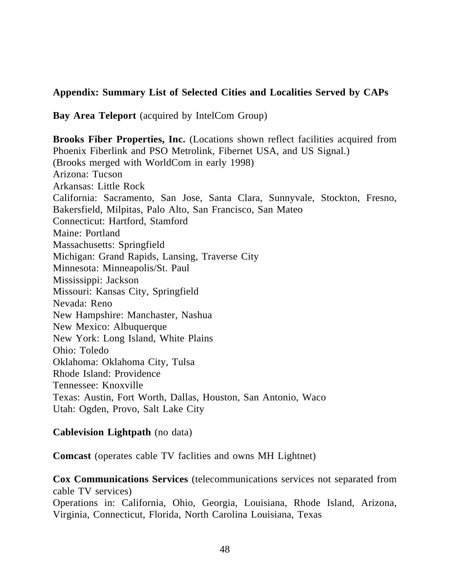# **Appendix: Summary List of Selected Cities and Localities Served by CAPs**

**Bay Area Teleport** (acquired by IntelCom Group)

**Brooks Fiber Properties, Inc.** (Locations shown reflect facilities acquired from Phoenix Fiberlink and PSO Metrolink, Fibernet USA, and US Signal.) (Brooks merged with WorldCom in early 1998) Arizona: Tucson Arkansas: Little Rock California: Sacramento, San Jose, Santa Clara, Sunnyvale, Stockton, Fresno, Bakersfield, Milpitas, Palo Alto, San Francisco, San Mateo Connecticut: Hartford, Stamford Maine: Portland Massachusetts: Springfield Michigan: Grand Rapids, Lansing, Traverse City Minnesota: Minneapolis/St. Paul Mississippi: Jackson Missouri: Kansas City, Springfield Nevada: Reno New Hampshire: Manchaster, Nashua New Mexico: Albuquerque New York: Long Island, White Plains Ohio: Toledo Oklahoma: Oklahoma City, Tulsa Rhode Island: Providence Tennessee: Knoxville Texas: Austin, Fort Worth, Dallas, Houston, San Antonio, Waco Utah: Ogden, Provo, Salt Lake City

### **Cablevision Lightpath** (no data)

**Comcast** (operates cable TV faclities and owns MH Lightnet)

**Cox Communications Services** (telecommunications services not separated from cable TV services)

Operations in: California, Ohio, Georgia, Louisiana, Rhode Island, Arizona, Virginia, Connecticut, Florida, North Carolina Louisiana, Texas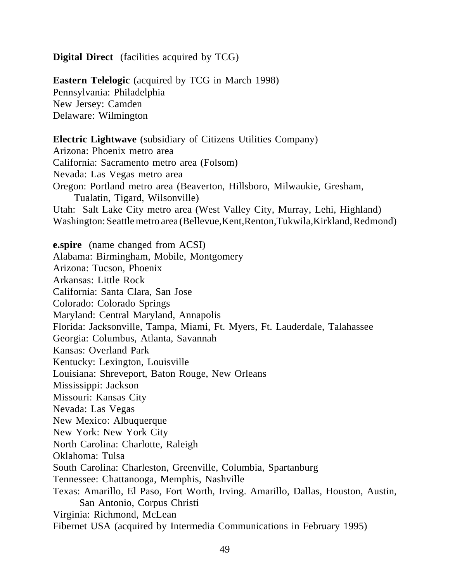**Digital Direct** (facilities acquired by TCG)

**Eastern Telelogic** (acquired by TCG in March 1998) Pennsylvania: Philadelphia New Jersey: Camden Delaware: Wilmington **Electric Lightwave** (subsidiary of Citizens Utilities Company)

Arizona: Phoenix metro area California: Sacramento metro area (Folsom) Nevada: Las Vegas metro area Oregon: Portland metro area (Beaverton, Hillsboro, Milwaukie, Gresham, Tualatin, Tigard, Wilsonville) Utah: Salt Lake City metro area (West Valley City, Murray, Lehi, Highland) Washington: Seattle metro area (Bellevue,Kent,Renton,Tukwila,Kirkland, Redmond)

**e.spire** (name changed from ACSI) Alabama: Birmingham, Mobile, Montgomery Arizona: Tucson, Phoenix Arkansas: Little Rock California: Santa Clara, San Jose Colorado: Colorado Springs Maryland: Central Maryland, Annapolis Florida: Jacksonville, Tampa, Miami, Ft. Myers, Ft. Lauderdale, Talahassee Georgia: Columbus, Atlanta, Savannah Kansas: Overland Park Kentucky: Lexington, Louisville Louisiana: Shreveport, Baton Rouge, New Orleans Mississippi: Jackson Missouri: Kansas City Nevada: Las Vegas New Mexico: Albuquerque New York: New York City North Carolina: Charlotte, Raleigh Oklahoma: Tulsa South Carolina: Charleston, Greenville, Columbia, Spartanburg Tennessee: Chattanooga, Memphis, Nashville Texas: Amarillo, El Paso, Fort Worth, Irving. Amarillo, Dallas, Houston, Austin, San Antonio, Corpus Christi Virginia: Richmond, McLean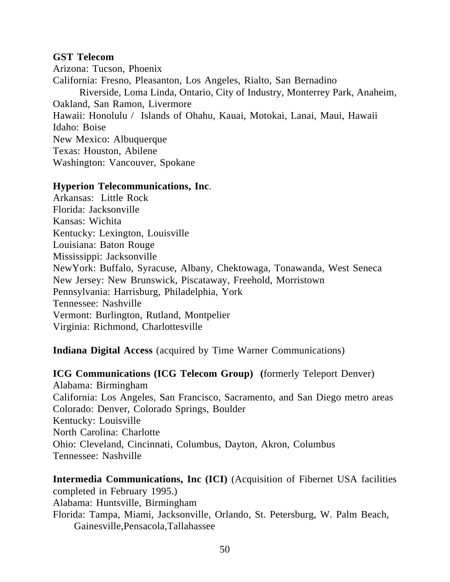#### **GST Telecom**

Arizona: Tucson, Phoenix California: Fresno, Pleasanton, Los Angeles, Rialto, San Bernadino Riverside, Loma Linda, Ontario, City of Industry, Monterrey Park, Anaheim, Oakland, San Ramon, Livermore Hawaii: Honolulu / Islands of Ohahu, Kauai, Motokai, Lanai, Maui, Hawaii Idaho: Boise New Mexico: Albuquerque Texas: Houston, Abilene Washington: Vancouver, Spokane

#### **Hyperion Telecommunications, Inc**.

Arkansas: Little Rock Florida: Jacksonville Kansas: Wichita Kentucky: Lexington, Louisville Louisiana: Baton Rouge Mississippi: Jacksonville NewYork: Buffalo, Syracuse, Albany, Chektowaga, Tonawanda, West Seneca New Jersey: New Brunswick, Piscataway, Freehold, Morristown Pennsylvania: Harrisburg, Philadelphia, York Tennessee: Nashville Vermont: Burlington, Rutland, Montpelier Virginia: Richmond, Charlottesville

**Indiana Digital Access** (acquired by Time Warner Communications)

**ICG Communications (ICG Telecom Group) (**formerly Teleport Denver) Alabama: Birmingham California: Los Angeles, San Francisco, Sacramento, and San Diego metro areas Colorado: Denver, Colorado Springs, Boulder Kentucky: Louisville North Carolina: Charlotte Ohio: Cleveland, Cincinnati, Columbus, Dayton, Akron, Columbus Tennessee: Nashville

**Intermedia Communications, Inc (ICI)** (Acquisition of Fibernet USA facilities completed in February 1995.) Alabama: Huntsville, Birmingham Florida: Tampa, Miami, Jacksonville, Orlando, St. Petersburg, W. Palm Beach, Gainesville,Pensacola,Tallahassee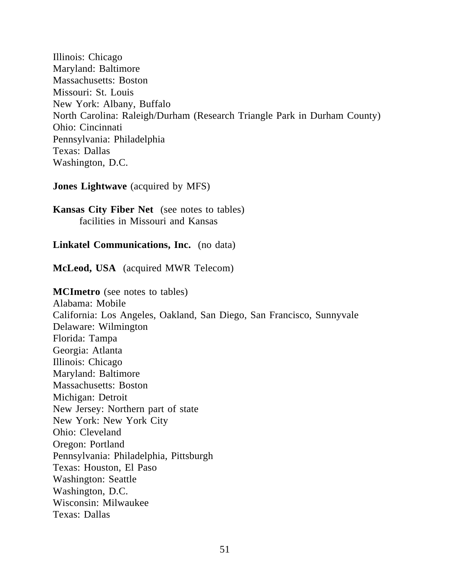Illinois: Chicago Maryland: Baltimore Massachusetts: Boston Missouri: St. Louis New York: Albany, Buffalo North Carolina: Raleigh/Durham (Research Triangle Park in Durham County) Ohio: Cincinnati Pennsylvania: Philadelphia Texas: Dallas Washington, D.C.

**Jones Lightwave** (acquired by MFS)

**Kansas City Fiber Net** (see notes to tables) facilities in Missouri and Kansas

**Linkatel Communications, Inc.** (no data)

**McLeod, USA** (acquired MWR Telecom)

**MCImetro** (see notes to tables) Alabama: Mobile California: Los Angeles, Oakland, San Diego, San Francisco, Sunnyvale Delaware: Wilmington Florida: Tampa Georgia: Atlanta Illinois: Chicago Maryland: Baltimore Massachusetts: Boston Michigan: Detroit New Jersey: Northern part of state New York: New York City Ohio: Cleveland Oregon: Portland Pennsylvania: Philadelphia, Pittsburgh Texas: Houston, El Paso Washington: Seattle Washington, D.C. Wisconsin: Milwaukee Texas: Dallas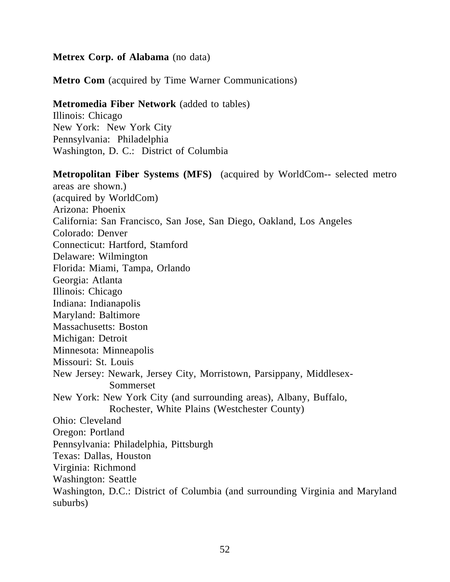#### **Metrex Corp. of Alabama** (no data)

**Metro Com** (acquired by Time Warner Communications)

# **Metromedia Fiber Network** (added to tables)

Illinois: Chicago New York: New York City Pennsylvania: Philadelphia Washington, D. C.: District of Columbia

**Metropolitan Fiber Systems (MFS)** (acquired by WorldCom-- selected metro areas are shown.) (acquired by WorldCom) Arizona: Phoenix California: San Francisco, San Jose, San Diego, Oakland, Los Angeles Colorado: Denver Connecticut: Hartford, Stamford Delaware: Wilmington Florida: Miami, Tampa, Orlando Georgia: Atlanta Illinois: Chicago Indiana: Indianapolis Maryland: Baltimore Massachusetts: Boston Michigan: Detroit Minnesota: Minneapolis Missouri: St. Louis New Jersey: Newark, Jersey City, Morristown, Parsippany, Middlesex- Sommerset New York: New York City (and surrounding areas), Albany, Buffalo, Rochester, White Plains (Westchester County) Ohio: Cleveland Oregon: Portland Pennsylvania: Philadelphia, Pittsburgh Texas: Dallas, Houston Virginia: Richmond Washington: Seattle Washington, D.C.: District of Columbia (and surrounding Virginia and Maryland suburbs)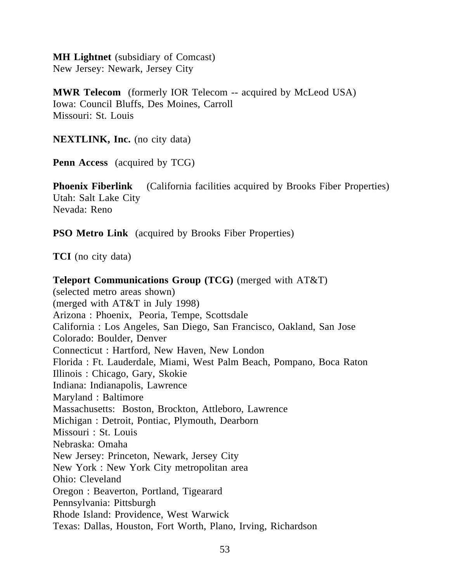**MH Lightnet** (subsidiary of Comcast) New Jersey: Newark, Jersey City

**MWR Telecom** (formerly IOR Telecom -- acquired by McLeod USA) Iowa: Council Bluffs, Des Moines, Carroll Missouri: St. Louis

**NEXTLINK, Inc.** (no city data)

**Penn Access** (acquired by TCG)

**Phoenix Fiberlink** (California facilities acquired by Brooks Fiber Properties) Utah: Salt Lake City Nevada: Reno

**PSO Metro Link** (acquired by Brooks Fiber Properties)

**TCI** (no city data)

**Teleport Communications Group (TCG)** (merged with AT&T) (selected metro areas shown) (merged with AT&T in July 1998) Arizona : Phoenix, Peoria, Tempe, Scottsdale California : Los Angeles, San Diego, San Francisco, Oakland, San Jose Colorado: Boulder, Denver Connecticut : Hartford, New Haven, New London Florida : Ft. Lauderdale, Miami, West Palm Beach, Pompano, Boca Raton Illinois : Chicago, Gary, Skokie Indiana: Indianapolis, Lawrence Maryland : Baltimore Massachusetts: Boston, Brockton, Attleboro, Lawrence Michigan : Detroit, Pontiac, Plymouth, Dearborn Missouri : St. Louis Nebraska: Omaha New Jersey: Princeton, Newark, Jersey City New York : New York City metropolitan area Ohio: Cleveland Oregon : Beaverton, Portland, Tigearard Pennsylvania: Pittsburgh Rhode Island: Providence, West Warwick Texas: Dallas, Houston, Fort Worth, Plano, Irving, Richardson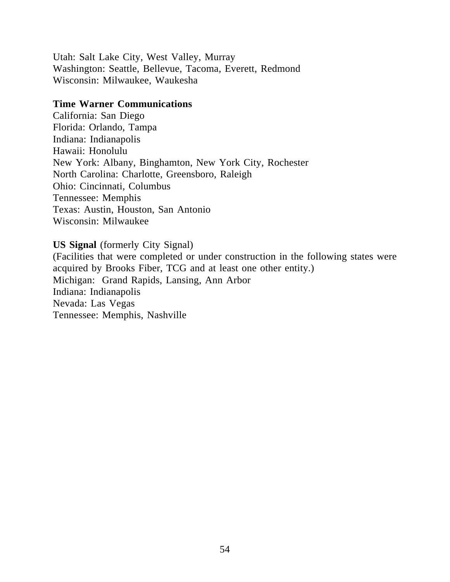Utah: Salt Lake City, West Valley, Murray Washington: Seattle, Bellevue, Tacoma, Everett, Redmond Wisconsin: Milwaukee, Waukesha

#### **Time Warner Communications**

California: San Diego Florida: Orlando, Tampa Indiana: Indianapolis Hawaii: Honolulu New York: Albany, Binghamton, New York City, Rochester North Carolina: Charlotte, Greensboro, Raleigh Ohio: Cincinnati, Columbus Tennessee: Memphis Texas: Austin, Houston, San Antonio Wisconsin: Milwaukee

**US Signal** (formerly City Signal)

(Facilities that were completed or under construction in the following states were acquired by Brooks Fiber, TCG and at least one other entity.) Michigan: Grand Rapids, Lansing, Ann Arbor Indiana: Indianapolis Nevada: Las Vegas Tennessee: Memphis, Nashville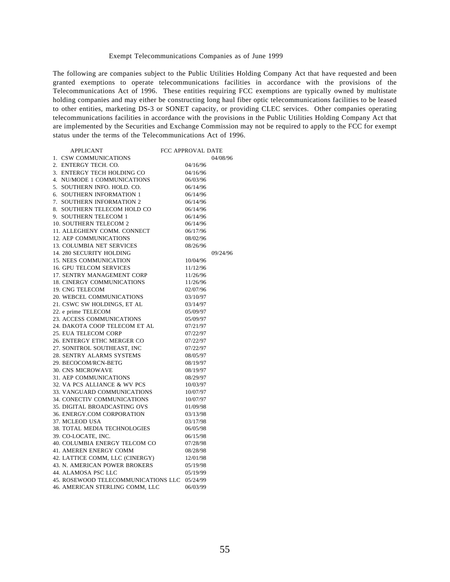#### Exempt Telecommunications Companies as of June 1999

The following are companies subject to the Public Utilities Holding Company Act that have requested and been granted exemptions to operate telecommunications facilities in accordance with the provisions of the Telecommunications Act of 1996. These entities requiring FCC exemptions are typically owned by multistate holding companies and may either be constructing long haul fiber optic telecommunications facilities to be leased to other entities, marketing DS-3 or SONET capacity, or providing CLEC services. Other companies operating telecommunications facilities in accordance with the provisions in the Public Utilities Holding Company Act that are implemented by the Securities and Exchange Commission may not be required to apply to the FCC for exempt status under the terms of the Telecommunications Act of 1996.

|    | <b>APPLICANT</b>                                                                                            | <b>FCC APPROVAL DATE</b> |          |
|----|-------------------------------------------------------------------------------------------------------------|--------------------------|----------|
| 1. | CSW COMMUNICATIONS                                                                                          |                          | 04/08/96 |
| 2. | ENTERGY TECH. CO.                                                                                           | 04/16/96                 |          |
| 3. | ENTERGY TECH HOLDING CO                                                                                     | 04/16/96                 |          |
| 4. | NU/MODE 1 COMMUNICATIONS                                                                                    | 06/03/96                 |          |
| 5. | SOUTHERN INFO. HOLD. CO.                                                                                    | 06/14/96                 |          |
| 6. | SOUTHERN INFORMATION 1                                                                                      | 06/14/96                 |          |
| 7. | SOUTHERN INFORMATION 2                                                                                      | 06/14/96                 |          |
| 8. | SOUTHERN INFORMATION 2<br>SOUTHERN TELECOM HOLD CO                                                          | 06/14/96                 |          |
| 9. | <b>SOUTHERN TELECOM 1</b>                                                                                   | 06/14/96                 |          |
|    | 9. SOUTHERN TELECOM 1<br>10. SOUTHERN TELECOM 2<br>11. ALLEGHENY COMM. CONNECT                              | 06/14/96                 |          |
|    |                                                                                                             | 06/17/96                 |          |
|    | 12. AEP COMMUNICATIONS                                                                                      | 08/02/96                 |          |
|    | 13. COLUMBIA NET SERVICES                                                                                   | 08/26/96                 |          |
|    | <b>14. 280 SECURITY HOLDING</b>                                                                             |                          | 09/24/96 |
|    | 14. 280 SECURITY HOLDING<br>15. NEES COMMUNICATION<br>16. GPU TELCOM SERVICES<br>17. SENTRY MANAGEMENT CORP | 10/04/96                 |          |
|    |                                                                                                             | 11/12/96                 |          |
|    |                                                                                                             | 11/26/96                 |          |
|    | <b>18. CINERGY COMMUNICATIONS</b>                                                                           | 11/26/96                 |          |
|    | 19. CNG TELECOM                                                                                             | 02/07/96                 |          |
|    | 20. WEBCEL COMMUNICATIONS                                                                                   | 03/10/97                 |          |
|    | 21. CSWC SW HOLDINGS, ET AL                                                                                 | 03/14/97                 |          |
|    |                                                                                                             |                          |          |
|    | 22. e prime TELECOM<br>22. e prime TELECOM<br>23. ACCESS COMMUNICATIONS<br>24. DAKOTA COOP TELECOM ET AL    | 05/09/97                 |          |
|    |                                                                                                             | 05/09/97                 |          |
|    |                                                                                                             | 07/21/97                 |          |
|    | 25. EUA TELECOM CORP                                                                                        | 07/22/97                 |          |
|    | 26. ENTERGY ETHC MERGER CO                                                                                  | 07/22/97                 |          |
|    | 27. SONITROL SOUTHEAST, INC                                                                                 | 07/22/97                 |          |
|    | 28. SENTRY ALARMS SYSTEMS                                                                                   | 08/05/97                 |          |
|    | 29. BECOCOM/RCN-BETG                                                                                        | 08/19/97                 |          |
|    | <b>30. CNS MICROWAVE</b>                                                                                    | 08/19/97                 |          |
|    | <b>31. AEP COMMUNICATIONS</b>                                                                               | 08/29/97                 |          |
|    | 32. VA PCS ALLIANCE & WV PCS                                                                                | 10/03/97                 |          |
|    | 33. VANGUARD COMMUNICATIONS                                                                                 | 10/07/97                 |          |
|    | 34. CONECTIV COMMUNICATIONS                                                                                 | 10/07/97                 |          |
|    | 35. DIGITAL BROADCASTING OVS                                                                                | 01/09/98                 |          |
|    | 36. ENERGY.COM CORPORATION                                                                                  | 03/13/98                 |          |
|    | 37. MCLEOD USA                                                                                              | 03/17/98                 |          |
|    | 38. TOTAL MEDIA TECHNOLOGIES                                                                                | 06/05/98                 |          |
|    | 39. CO-LOCATE, INC.                                                                                         | 06/15/98                 |          |
|    | 40. COLUMBIA ENERGY TELCOM CO<br>41. AMEREN ENERGY COMM                                                     | 07/28/98                 |          |
|    | 41. AMEREN ENERGY COMM                                                                                      | 08/28/98                 |          |
|    | 42. LATTICE COMM, LLC (CINERGY)                                                                             | 12/01/98                 |          |
|    | 43. N. AMERICAN POWER BROKERS                                                                               | 05/19/98                 |          |
|    | 44. ALAMOSA PSC LLC                                                                                         | 05/19/99                 |          |
|    | 45. ROSEWOOD TELECOMMUNICATIONS LLC                                                                         | 05/24/99                 |          |
|    | 46. AMERICAN STERLING COMM, LLC                                                                             | 06/03/99                 |          |